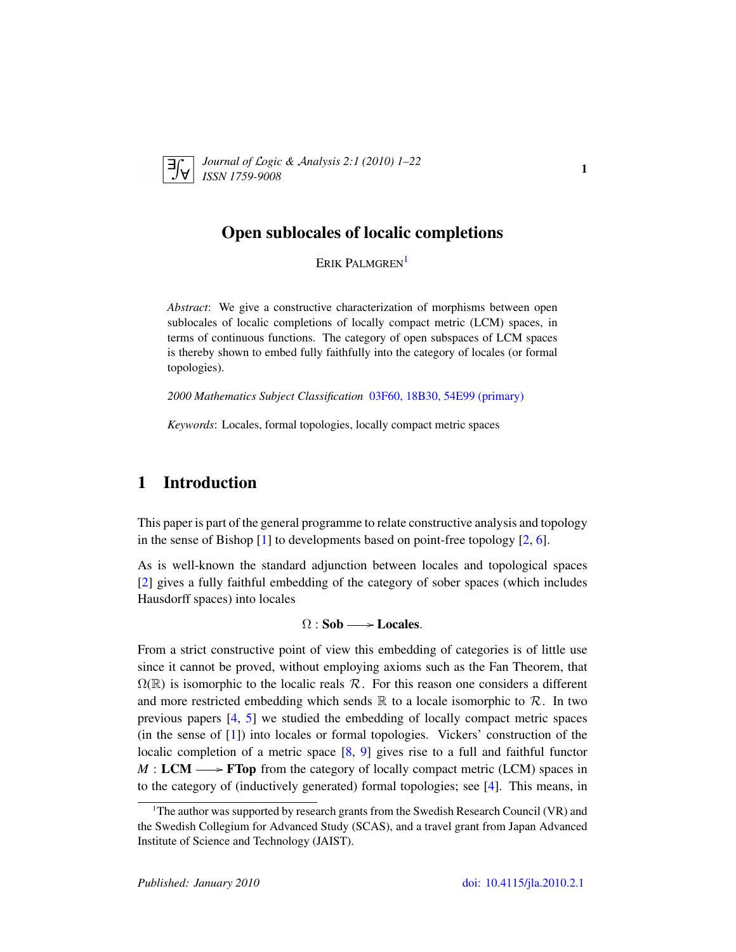

*Journal of* L*ogic &* A*nalysis 2:1 (2010) 1–22 ISSN 1759-9008* 1

# Open sublocales of localic completions

ERIK PALMGREN<sup>[1](#page-0-0)</sup>

*Abstract*: We give a constructive characterization of morphisms between open sublocales of localic completions of locally compact metric (LCM) spaces, in terms of continuous functions. The category of open subspaces of LCM spaces is thereby shown to embed fully faithfully into the category of locales (or formal topologies).

*2000 Mathematics Subject Classification* [03F60, 18B30, 54E99 \(primary\)](http://www.ams.org/mathscinet/search/mscdoc.html?code= 03F60, 18B30, 54E99)

*Keywords*: Locales, formal topologies, locally compact metric spaces

# 1 Introduction

This paper is part of the general programme to relate constructive analysis and topology in the sense of Bishop [\[1\]](#page-20-0) to developments based on point-free topology [\[2,](#page-20-1) [6\]](#page-20-2).

As is well-known the standard adjunction between locales and topological spaces [\[2\]](#page-20-1) gives a fully faithful embedding of the category of sober spaces (which includes Hausdorff spaces) into locales

#### $\Omega$  : Sob  $\longrightarrow$  Locales.

From a strict constructive point of view this embedding of categories is of little use since it cannot be proved, without employing axioms such as the Fan Theorem, that  $\Omega(\mathbb{R})$  is isomorphic to the localic reals  $\mathcal{R}$ . For this reason one considers a different and more restricted embedding which sends  $\mathbb R$  to a locale isomorphic to  $\mathcal R$ . In two previous papers [\[4,](#page-20-3) [5\]](#page-20-4) we studied the embedding of locally compact metric spaces (in the sense of [\[1\]](#page-20-0)) into locales or formal topologies. Vickers' construction of the localic completion of a metric space [\[8,](#page-21-0) [9\]](#page-21-1) gives rise to a full and faithful functor  $M : LCM \longrightarrow FTop$  from the category of locally compact metric (LCM) spaces in to the category of (inductively generated) formal topologies; see [\[4\]](#page-20-3). This means, in

<span id="page-0-0"></span><sup>&</sup>lt;sup>1</sup>The author was supported by research grants from the Swedish Research Council (VR) and the Swedish Collegium for Advanced Study (SCAS), and a travel grant from Japan Advanced Institute of Science and Technology (JAIST).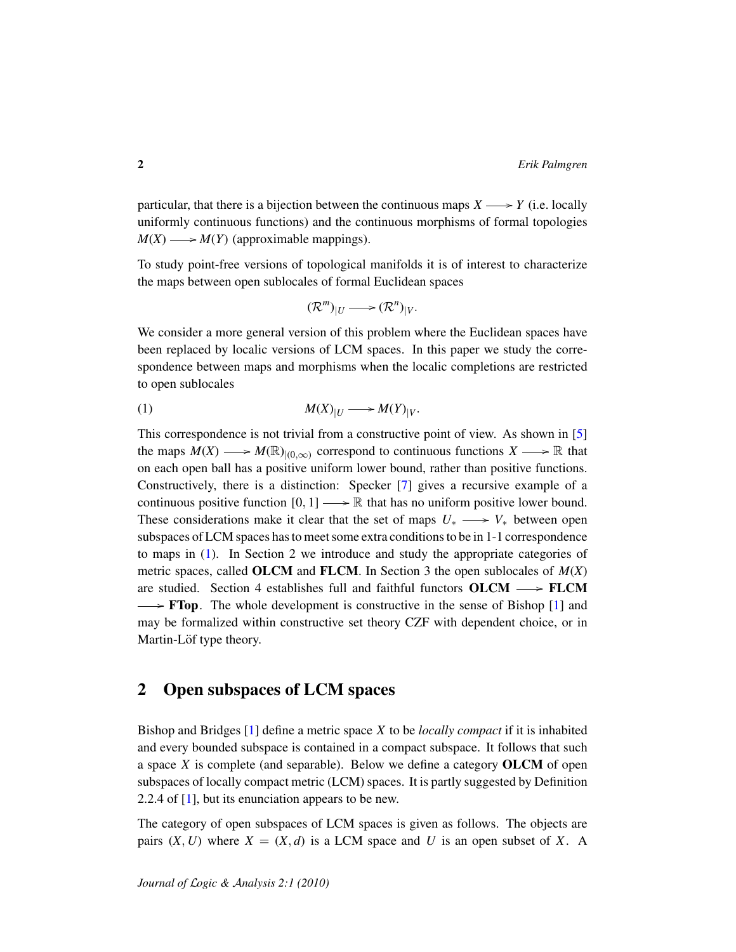particular, that there is a bijection between the continuous maps  $X \longrightarrow Y$  (i.e. locally uniformly continuous functions) and the continuous morphisms of formal topologies  $M(X) \longrightarrow M(Y)$  (approximable mappings).

To study point-free versions of topological manifolds it is of interest to characterize the maps between open sublocales of formal Euclidean spaces

<span id="page-1-0"></span>
$$
(\mathcal{R}^m)|_U \longrightarrow (\mathcal{R}^n)|_V.
$$

We consider a more general version of this problem where the Euclidean spaces have been replaced by localic versions of LCM spaces. In this paper we study the correspondence between maps and morphisms when the localic completions are restricted to open sublocales

$$
(1) \t\t\t M(X)_{|U} \longrightarrow M(Y)_{|V}.
$$

This correspondence is not trivial from a constructive point of view. As shown in [\[5\]](#page-20-4) the maps  $M(X) \longrightarrow M(\mathbb{R})_{|(0,\infty)}$  correspond to continuous functions  $X \longrightarrow \mathbb{R}$  that on each open ball has a positive uniform lower bound, rather than positive functions. Constructively, there is a distinction: Specker [\[7\]](#page-21-2) gives a recursive example of a continuous positive function  $[0, 1] \longrightarrow \mathbb{R}$  that has no uniform positive lower bound. These considerations make it clear that the set of maps  $U_* \longrightarrow V_*$  between open subspaces of LCM spaces has to meet some extra conditions to be in 1-1 correspondence to maps in [\(1\)](#page-1-0). In Section 2 we introduce and study the appropriate categories of metric spaces, called OLCM and FLCM. In Section 3 the open sublocales of *M*(*X*) are studied. Section 4 establishes full and faithful functors  $OLCM \longrightarrow FLCM$  $\rightarrow$  **FTop.** The whole development is constructive in the sense of Bishop [\[1\]](#page-20-0) and may be formalized within constructive set theory CZF with dependent choice, or in Martin-Löf type theory.

# 2 Open subspaces of LCM spaces

Bishop and Bridges [\[1\]](#page-20-0) define a metric space *X* to be *locally compact* if it is inhabited and every bounded subspace is contained in a compact subspace. It follows that such a space *X* is complete (and separable). Below we define a category OLCM of open subspaces of locally compact metric (LCM) spaces. It is partly suggested by Definition 2.2.4 of [\[1\]](#page-20-0), but its enunciation appears to be new.

The category of open subspaces of LCM spaces is given as follows. The objects are pairs  $(X, U)$  where  $X = (X, d)$  is a LCM space and U is an open subset of X. A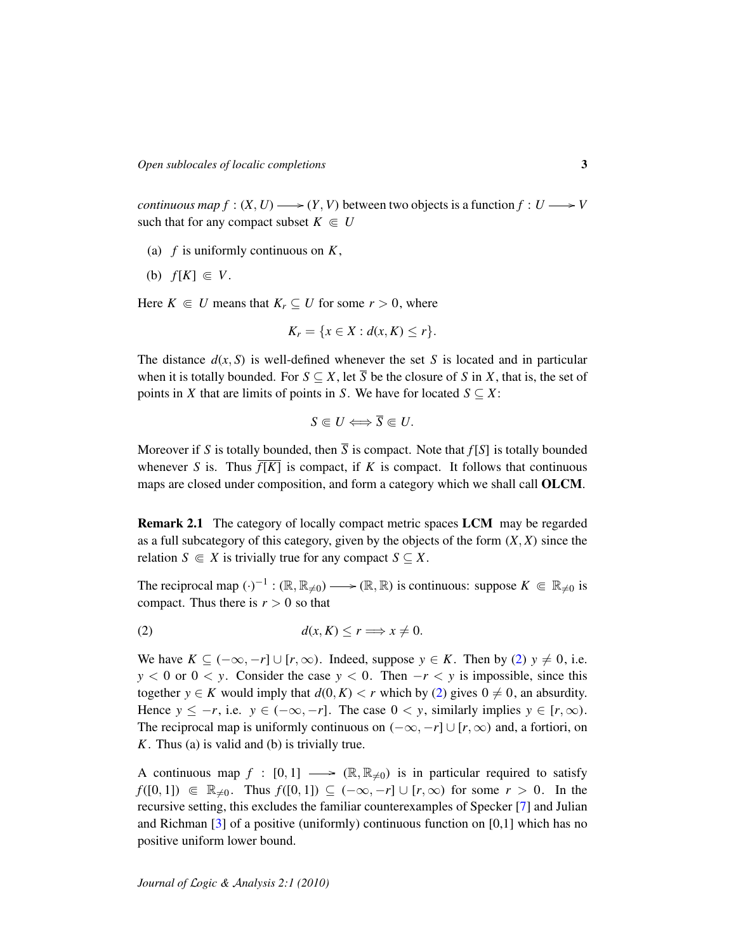*continuous map f* :  $(X, U) \longrightarrow (Y, V)$  between two objects is a function  $f: U \longrightarrow V$ such that for any compact subset  $K \in U$ 

- (a) *f* is uniformly continuous on *K*,
- (b)  $f[K] \in V$ .

Here  $K \in U$  means that  $K_r \subseteq U$  for some  $r > 0$ , where

$$
K_r = \{x \in X : d(x, K) \le r\}.
$$

The distance  $d(x, S)$  is well-defined whenever the set S is located and in particular when it is totally bounded. For  $S \subseteq X$ , let  $\overline{S}$  be the closure of *S* in *X*, that is, the set of points in *X* that are limits of points in *S*. We have for located  $S \subseteq X$ :

$$
S\Subset U\Longleftrightarrow \overline{S}\Subset U.
$$

Moreover if *S* is totally bounded, then  $\overline{S}$  is compact. Note that  $f[S]$  is totally bounded whenever *S* is. Thus  $\overline{f[K]}$  is compact, if *K* is compact. It follows that continuous maps are closed under composition, and form a category which we shall call OLCM.

Remark 2.1 The category of locally compact metric spaces LCM may be regarded as a full subcategory of this category, given by the objects of the form (*X*, *X*) since the relation *S*  $\in$  *X* is trivially true for any compact *S*  $\subset$  *X*.

The reciprocal map  $(\cdot)^{-1} : (\mathbb{R}, \mathbb{R}_{\neq 0}) \longrightarrow (\mathbb{R}, \mathbb{R})$  is continuous: suppose  $K \in \mathbb{R}_{\neq 0}$  is compact. Thus there is  $r > 0$  so that

<span id="page-2-0"></span>
$$
d(x,K) \le r \Longrightarrow x \neq 0.
$$

We have  $K \subseteq (-\infty, -r] \cup [r, \infty)$ . Indeed, suppose  $y \in K$ . Then by [\(2\)](#page-2-0)  $y \neq 0$ , i.e.  $y < 0$  or  $0 < y$ . Consider the case  $y < 0$ . Then  $-r < y$  is impossible, since this together *y* ∈ *K* would imply that  $d(0, K) < r$  which by [\(2\)](#page-2-0) gives  $0 ≠ 0$ , an absurdity. Hence  $y \leq -r$ , i.e.  $y \in (-\infty, -r]$ . The case  $0 \lt y$ , similarly implies  $y \in [r, \infty)$ . The reciprocal map is uniformly continuous on  $(-\infty, -r] \cup [r, \infty)$  and, a fortiori, on *K*. Thus (a) is valid and (b) is trivially true.

A continuous map  $f : [0, 1] \longrightarrow (\mathbb{R}, \mathbb{R}_{\neq 0})$  is in particular required to satisfy *f*([0, 1]) ∈  $\mathbb{R}_{\neq 0}$ . Thus *f*([0, 1]) ⊆ (-∞, -*r*] ∪ [*r*, ∞) for some *r* > 0. In the recursive setting, this excludes the familiar counterexamples of Specker [\[7\]](#page-21-2) and Julian and Richman  $\lceil 3 \rceil$  of a positive (uniformly) continuous function on  $\lceil 0,1 \rceil$  which has no positive uniform lower bound.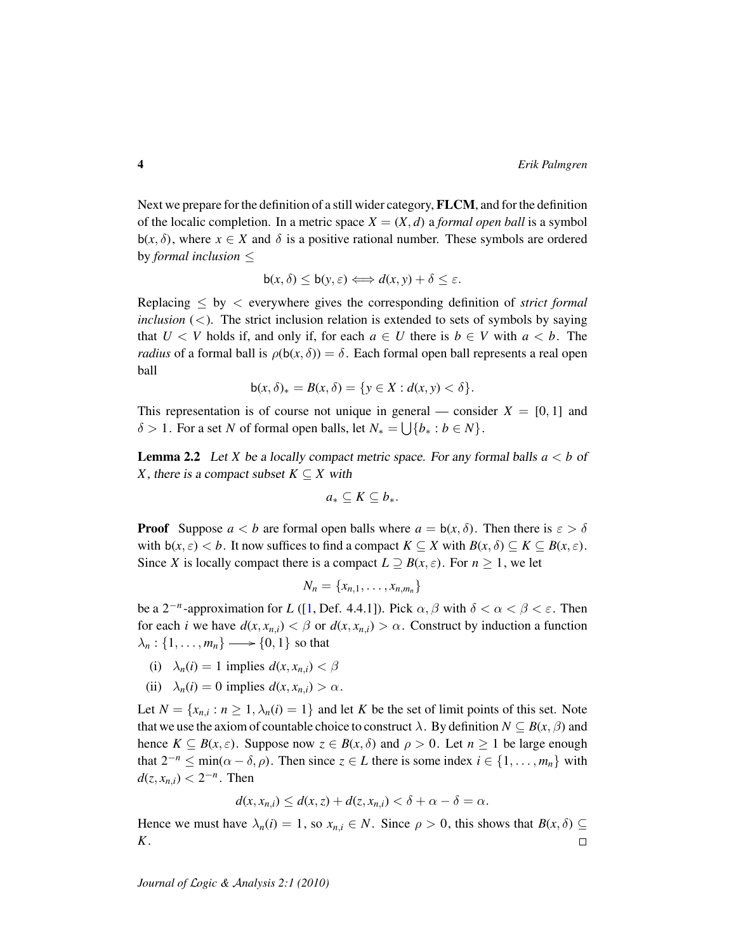Next we prepare for the definition of a still wider category, FLCM, and for the definition of the localic completion. In a metric space  $X = (X, d)$  a *formal open ball* is a symbol b(*x*,  $\delta$ ), where  $x \in X$  and  $\delta$  is a positive rational number. These symbols are ordered by *formal inclusion* ≤

$$
\mathsf{b}(x,\delta) \leq \mathsf{b}(y,\varepsilon) \Longleftrightarrow d(x,y) + \delta \leq \varepsilon.
$$

Replacing ≤ by < everywhere gives the corresponding definition of *strict formal inclusion*  $(<)$ . The strict inclusion relation is extended to sets of symbols by saying that  $U \leq V$  holds if, and only if, for each  $a \in U$  there is  $b \in V$  with  $a \leq b$ . The *radius* of a formal ball is  $\rho(b(x, \delta)) = \delta$ . Each formal open ball represents a real open ball

$$
\mathsf{b}(x,\delta)_* = B(x,\delta) = \{y \in X : d(x,y) < \delta\}.
$$

This representation is of course not unique in general — consider  $X = [0, 1]$  and  $\delta > 1$ . For a set *N* of formal open balls, let  $N_* = \bigcup \{b_* : b \in N\}.$ 

<span id="page-3-0"></span>Lemma 2.2 Let *X* be a locally compact metric space. For any formal balls *a* < *b* of *X*, there is a compact subset  $K \subseteq X$  with

$$
a_*\subseteq K\subseteq b_*.
$$

**Proof** Suppose  $a < b$  are formal open balls where  $a = b(x, \delta)$ . Then there is  $\varepsilon > \delta$ with  $b(x, \varepsilon) < b$ . It now suffices to find a compact  $K \subseteq X$  with  $B(x, \delta) \subseteq K \subseteq B(x, \varepsilon)$ . Since *X* is locally compact there is a compact  $L \supseteq B(x, \varepsilon)$ . For  $n \geq 1$ , we let

$$
N_n = \{x_{n,1},\ldots,x_{n,m_n}\}\
$$

be a  $2^{-n}$ -approximation for *L* ([\[1,](#page-20-0) Def. 4.4.1]). Pick  $\alpha, \beta$  with  $\delta < \alpha < \beta < \varepsilon$ . Then for each *i* we have  $d(x, x_{n,i}) < \beta$  or  $d(x, x_{n,i}) > \alpha$ . Construct by induction a function  $\lambda_n: \{1, \ldots, m_n\} \longrightarrow \{0, 1\}$  so that

- (i)  $\lambda_n(i) = 1$  implies  $d(x, x_{n,i}) < \beta$
- (ii)  $\lambda_n(i) = 0$  implies  $d(x, x_{n,i}) > \alpha$ .

Let  $N = \{x_{n,i} : n \ge 1, \lambda_n(i) = 1\}$  and let *K* be the set of limit points of this set. Note that we use the axiom of countable choice to construct  $\lambda$ . By definition  $N \subseteq B(x, \beta)$  and hence  $K \subseteq B(x, \varepsilon)$ . Suppose now  $\zeta \in B(x, \delta)$  and  $\rho > 0$ . Let  $n \ge 1$  be large enough that  $2^{-n} \le \min(\alpha - \delta, \rho)$ . Then since  $z \in L$  there is some index  $i \in \{1, \ldots, m_n\}$  with  $d(z, x_{n,i}) < 2^{-n}$ . Then

$$
d(x, x_{n,i}) \le d(x, z) + d(z, x_{n,i}) < \delta + \alpha - \delta = \alpha.
$$

Hence we must have  $\lambda_n(i) = 1$ , so  $x_{n,i} \in N$ . Since  $\rho > 0$ , this shows that  $B(x, \delta) \subseteq$ *K*.  $\Box$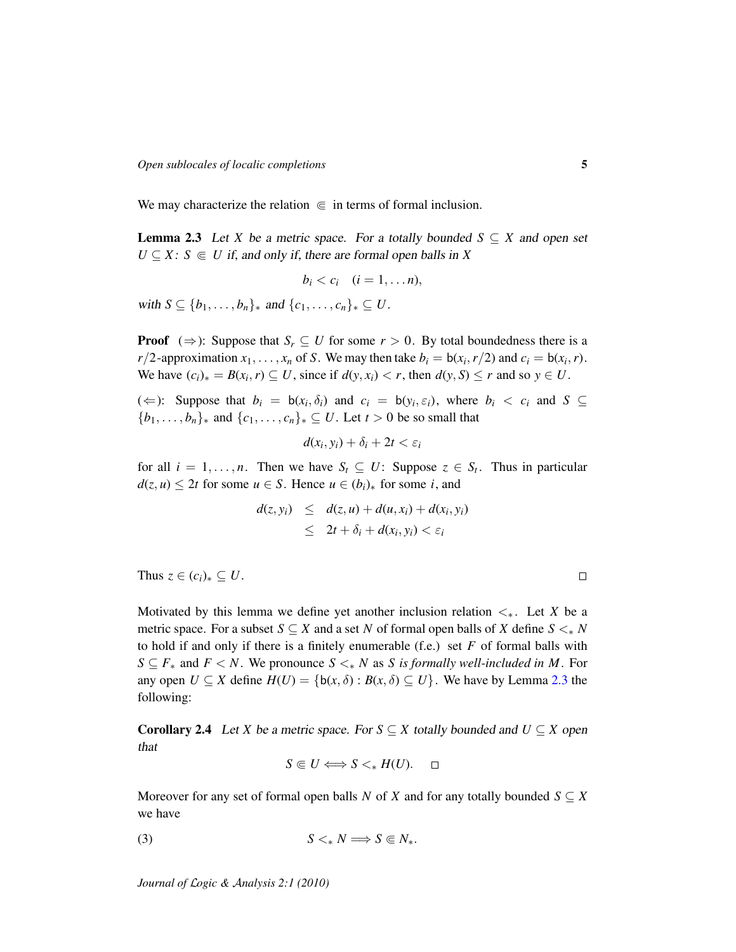We may characterize the relation  $\in$  in terms of formal inclusion.

<span id="page-4-0"></span>**Lemma 2.3** Let *X* be a metric space. For a totally bounded  $S \subseteq X$  and open set  $U \subseteq X$ :  $S \subseteq U$  if, and only if, there are formal open balls in *X* 

$$
b_i < c_i \quad (i=1,\ldots n),
$$

with *S* ⊆ { $b_1$ , . . . ,  $b_n$ }<sub>\*</sub> and { $c_1$ , . . . ,  $c_n$ }<sub>\*</sub> ⊆ *U*.

**Proof**  $(\Rightarrow)$ : Suppose that  $S_r \subseteq U$  for some  $r > 0$ . By total boundedness there is a *r*/2-approximation  $x_1, \ldots, x_n$  of *S*. We may then take  $b_i = b(x_i, r/2)$  and  $c_i = b(x_i, r)$ . We have  $(c_i)_* = B(x_i, r) \subseteq U$ , since if  $d(y, x_i) < r$ , then  $d(y, S) \le r$  and so  $y \in U$ .

( $\Leftarrow$ ): Suppose that  $b_i = b(x_i, \delta_i)$  and  $c_i = b(y_i, \epsilon_i)$ , where  $b_i < c_i$  and  $S \subseteq$  $\{b_1, \ldots, b_n\}$ <sup>\*</sup> and  $\{c_1, \ldots, c_n\}$ <sup>\*</sup> ⊆ *U*. Let *t* > 0 be so small that

$$
d(x_i, y_i) + \delta_i + 2t < \varepsilon_i
$$

for all  $i = 1, \ldots, n$ . Then we have  $S_t \subseteq U$ : Suppose  $z \in S_t$ . Thus in particular  $d(z, u) \leq 2t$  for some  $u \in S$ . Hence  $u \in (b_i)_*$  for some *i*, and

$$
d(z, y_i) \leq d(z, u) + d(u, x_i) + d(x_i, y_i)
$$
  
\n
$$
\leq 2t + \delta_i + d(x_i, y_i) < \varepsilon_i
$$

Thus  $z \in (c_i)_* \subseteq U$ .

Motivated by this lemma we define yet another inclusion relation  $\lt_{\ast}$ . Let *X* be a metric space. For a subset  $S \subseteq X$  and a set N of formal open balls of X define  $S \leq_{*} N$ to hold if and only if there is a finitely enumerable (f.e.) set *F* of formal balls with *S* ⊆ *F*<sup>∗</sup> and *F* < *N*. We pronounce *S* < ∗ *N* as *S* is formally well-included in *M*. For any open  $U \subseteq X$  define  $H(U) = \{b(x, \delta) : B(x, \delta) \subseteq U\}$ . We have by Lemma [2.3](#page-4-0) the following:

<span id="page-4-2"></span>**Corollary 2.4** Let *X* be a metric space. For  $S \subseteq X$  totally bounded and  $U \subseteq X$  open that

<span id="page-4-1"></span>
$$
S\Subset U\Longleftrightarrow S<_*H(U).\quad \Box
$$

Moreover for any set of formal open balls *N* of *X* and for any totally bounded  $S \subseteq X$ we have

$$
(3) \tS <_{*} N \Longrightarrow S \Subset N_{*}.
$$

*Journal of* L*ogic &* A*nalysis 2:1 (2010)*

 $\Box$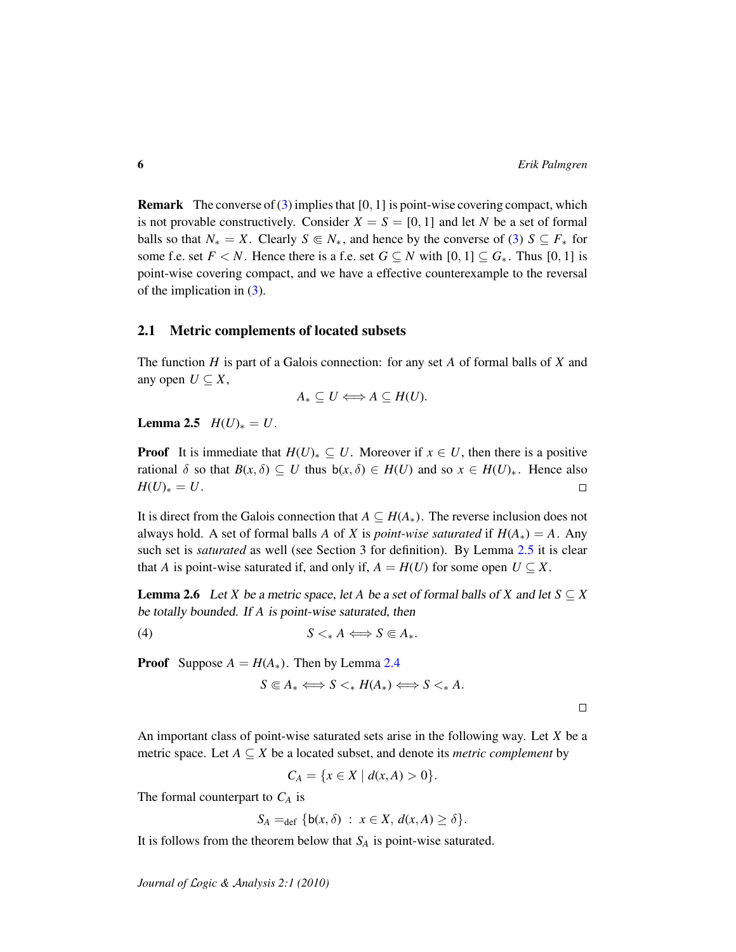**Remark** The converse of  $(3)$  implies that  $[0, 1]$  is point-wise covering compact, which is not provable constructively. Consider  $X = S = [0, 1]$  and let *N* be a set of formal balls so that  $N_* = X$ . Clearly  $S \in N_*$ , and hence by the converse of [\(3\)](#page-4-1)  $S \subseteq F_*$  for some f.e. set  $F < N$ . Hence there is a f.e. set  $G \subseteq N$  with  $[0, 1] \subseteq G_*$ . Thus  $[0, 1]$  is point-wise covering compact, and we have a effective counterexample to the reversal of the implication in [\(3\)](#page-4-1).

#### 2.1 Metric complements of located subsets

The function *H* is part of a Galois connection: for any set *A* of formal balls of *X* and any open  $U \subseteq X$ ,

$$
A_* \subseteq U \Longleftrightarrow A \subseteq H(U).
$$

<span id="page-5-0"></span>**Lemma 2.5**  $H(U)_* = U$ .

**Proof** It is immediate that  $H(U)_* \subseteq U$ . Moreover if  $x \in U$ , then there is a positive rational  $\delta$  so that  $B(x, \delta) \subseteq U$  thus  $b(x, \delta) \in H(U)$  and so  $x \in H(U)_*$ . Hence also  $H(U)_* = U$ .  $\Box$ 

It is direct from the Galois connection that  $A \subseteq H(A_*)$ . The reverse inclusion does not always hold. A set of formal balls *A* of *X* is *point-wise saturated* if  $H(A_*) = A$ . Any such set is *saturated* as well (see Section 3 for definition). By Lemma [2.5](#page-5-0) it is clear that *A* is point-wise saturated if, and only if,  $A = H(U)$  for some open  $U \subseteq X$ .

**Lemma 2.6** Let *X* be a metric space, let *A* be a set of formal balls of *X* and let  $S \subseteq X$ be totally bounded. If *A* is point-wise saturated, then

$$
(4) \tS <_{*} A \Longleftrightarrow S \Subset A_{*}.
$$

**Proof** Suppose  $A = H(A_*)$ . Then by Lemma [2.4](#page-4-2)

$$
S\Subset A_* \Longleftrightarrow S<_* H(A_*) \Longleftrightarrow S<_* A.
$$

 $\Box$ 

An important class of point-wise saturated sets arise in the following way. Let *X* be a metric space. Let  $A \subseteq X$  be a located subset, and denote its *metric complement* by

$$
C_A = \{ x \in X \mid d(x, A) > 0 \}.
$$

The formal counterpart to *C<sup>A</sup>* is

$$
S_A =_{\text{def}} \{b(x, \delta) : x \in X, d(x, A) \ge \delta\}.
$$

It is follows from the theorem below that *S<sup>A</sup>* is point-wise saturated.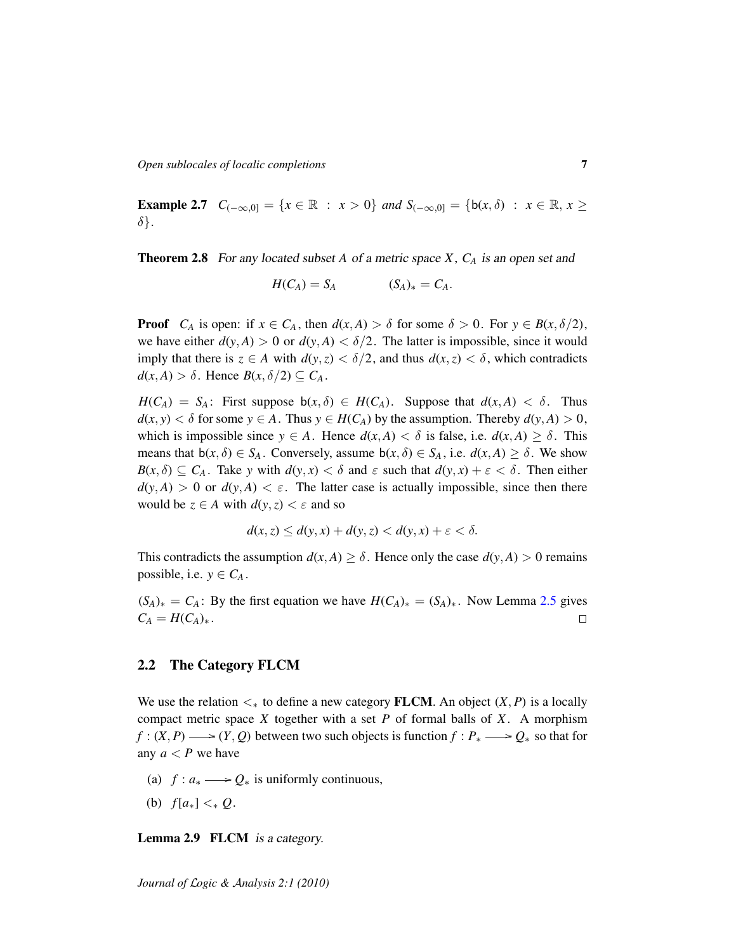*Open sublocales of localic completions* 7

**Example 2.7**  $C_{(-\infty,0]}$  = { $x \in \mathbb{R}$  :  $x > 0$ } *and*  $S_{(-\infty,0]}$  = { $b(x, \delta)$  :  $x \in \mathbb{R}, x \ge$ δ}*.*

Theorem 2.8 For any located subset *A* of a metric space *X*, *C<sup>A</sup>* is an open set and

$$
H(C_A) = S_A \qquad (S_A)_* = C_A.
$$

**Proof**  $C_A$  is open: if  $x \in C_A$ , then  $d(x, A) > \delta$  for some  $\delta > 0$ . For  $y \in B(x, \delta/2)$ , we have either  $d(y, A) > 0$  or  $d(y, A) < \delta/2$ . The latter is impossible, since it would imply that there is  $z \in A$  with  $d(y, z) < \delta/2$ , and thus  $d(x, z) < \delta$ , which contradicts  $d(x, A) > \delta$ . Hence  $B(x, \delta/2) \subseteq C_A$ .

 $H(C_A) = S_A$ : First suppose  $b(x, \delta) \in H(C_A)$ . Suppose that  $d(x, A) < \delta$ . Thus  $d(x, y) < \delta$  for some  $y \in A$ . Thus  $y \in H(C_A)$  by the assumption. Thereby  $d(y, A) > 0$ , which is impossible since  $y \in A$ . Hence  $d(x, A) < \delta$  is false, i.e.  $d(x, A) \ge \delta$ . This means that  $b(x, \delta) \in S_A$ . Conversely, assume  $b(x, \delta) \in S_A$ , i.e.  $d(x, A) \geq \delta$ . We show  $B(x, \delta) \subseteq C_A$ . Take *y* with  $d(y, x) < \delta$  and  $\varepsilon$  such that  $d(y, x) + \varepsilon < \delta$ . Then either  $d(y, A) > 0$  or  $d(y, A) < \varepsilon$ . The latter case is actually impossible, since then there would be  $z \in A$  with  $d(y, z) < \varepsilon$  and so

$$
d(x, z) \le d(y, x) + d(y, z) < d(y, x) + \varepsilon < \delta.
$$

This contradicts the assumption  $d(x, A) \ge \delta$ . Hence only the case  $d(y, A) > 0$  remains possible, i.e.  $y \in C_A$ .

 $(S_A)_* = C_A$ : By the first equation we have  $H(C_A)_* = (S_A)_*$ . Now Lemma [2.5](#page-5-0) gives  $C_A = H(C_A)_{*}$ .  $\Box$ 

#### 2.2 The Category FLCM

We use the relation  $\lt_{*}$  to define a new category **FLCM**. An object  $(X, P)$  is a locally compact metric space *X* together with a set *P* of formal balls of *X*. A morphism *f* :  $(X, P)$  →  $(Y, Q)$  between two such objects is function *f* :  $P_*$  →  $Q_*$  so that for any  $a < P$  we have

- (a)  $f: a_* \longrightarrow Q_*$  is uniformly continuous,
- (b) *f*[*a*∗] <<sup>∗</sup> *Q*.

Lemma 2.9 FLCM is a category.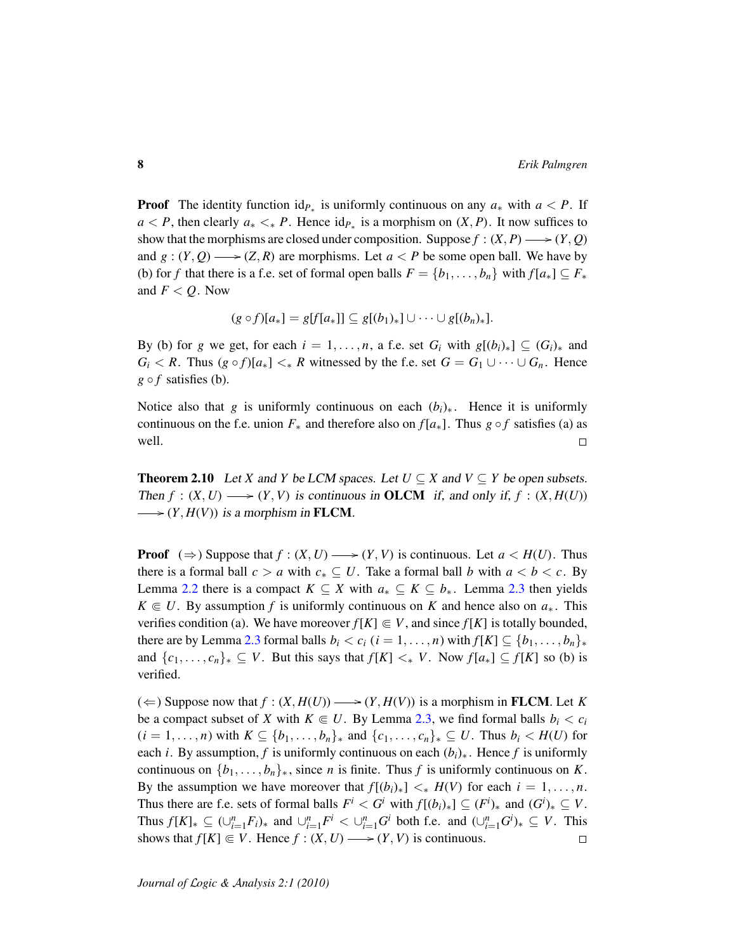**Proof** The identity function  $id_{P_{*}}$  is uniformly continuous on any  $a_{*}$  with  $a < P$ . If *a* < *P*, then clearly  $a_* <_* P$ . Hence  $id_{P_*}$  is a morphism on  $(X, P)$ . It now suffices to show that the morphisms are closed under composition. Suppose  $f : (X, P) \longrightarrow (Y, Q)$ and  $g: (Y, Q) \longrightarrow (Z, R)$  are morphisms. Let  $a < P$  be some open ball. We have by (b) for *f* that there is a f.e. set of formal open balls  $F = \{b_1, \ldots, b_n\}$  with  $f[a_*] \subseteq F_*$ and  $F < Q$ . Now

$$
(g \circ f)[a_*] = g[f[a_*]] \subseteq g[(b_1)_*] \cup \cdots \cup g[(b_n)_*].
$$

By (b) for *g* we get, for each  $i = 1, \ldots, n$ , a f.e. set  $G_i$  with  $g[(b_i)_*] \subseteq (G_i)_*$  and *G*<sup>*i*</sup> < *R*. Thus (*g* ◦ *f*)[ $a$ <sub>\*</sub>] < ∗ *R* witnessed by the f.e. set  $G = G_1 ∪ ⋯ ∪ G_n$ . Hence  $g \circ f$  satisfies (b).

Notice also that *g* is uniformly continuous on each  $(b_i)_*$ . Hence it is uniformly continuous on the f.e. union  $F_*$  and therefore also on  $f[a_*]$ . Thus  $g \circ f$  satisfies (a) as well.  $\Box$ 

<span id="page-7-0"></span>**Theorem 2.10** Let *X* and *Y* be LCM spaces. Let  $U \subseteq X$  and  $V \subseteq Y$  be open subsets. Then  $f : (X, U) \longrightarrow (Y, V)$  is continuous in OLCM if, and only if,  $f : (X, H(U))$  $\longrightarrow (Y, H(V))$  is a morphism in **FLCM**.

**Proof**  $(\Rightarrow)$  Suppose that  $f : (X, U) \longrightarrow (Y, V)$  is continuous. Let  $a < H(U)$ . Thus there is a formal ball  $c > a$  with  $c_* \subseteq U$ . Take a formal ball *b* with  $a < b < c$ . By Lemma [2.2](#page-3-0) there is a compact  $K \subseteq X$  with  $a_* \subseteq K \subseteq b_*$ . Lemma [2.3](#page-4-0) then yields  $K \in U$ . By assumption *f* is uniformly continuous on *K* and hence also on  $a_*$ . This verifies condition (a). We have moreover  $f[K] \in V$ , and since  $f[K]$  is totally bounded, there are by Lemma [2.3](#page-4-0) formal balls  $b_i < c_i$  ( $i = 1, ..., n$ ) with  $f[K] \subseteq \{b_1, ..., b_n\}_*$ and  $\{c_1, \ldots, c_n\}_* \subseteq V$ . But this says that  $f[K] <_* V$ . Now  $f[a_*] \subseteq f[K]$  so (b) is verified.

(  $\Leftarrow$  ) Suppose now that *f* : (*X*, *H*(*U*)) → (*Y*, *H*(*V*)) is a morphism in **FLCM**. Let *K* be a compact subset of *X* with  $K \in U$ . By Lemma [2.3,](#page-4-0) we find formal balls  $b_i < c_i$  $(i = 1, \ldots, n)$  with  $K \subseteq \{b_1, \ldots, b_n\}$  and  $\{c_1, \ldots, c_n\}$   $\subseteq U$ . Thus  $b_i < H(U)$  for each *i*. By assumption, *f* is uniformly continuous on each  $(b_i)_*$ . Hence *f* is uniformly continuous on  $\{b_1, \ldots, b_n\}_*$ , since *n* is finite. Thus *f* is uniformly continuous on *K*. By the assumption we have moreover that  $f[(b_i)_*] <_* H(V)$  for each  $i = 1, \ldots, n$ . Thus there are f.e. sets of formal balls  $F^i < G^i$  with  $f[(b_i)_*] \subseteq (F^i)_*$  and  $(G^i)_* \subseteq V$ . Thus  $f[K]_* \subseteq (\bigcup_{i=1}^n F_i)_*$  and  $\bigcup_{i=1}^n F^i < \bigcup_{i=1}^n G^i$  both f.e. and  $(\bigcup_{i=1}^n G^i)_* \subseteq V$ . This shows that  $f[K] \in V$ . Hence  $f : (X, U) \longrightarrow (Y, V)$  is continuous.  $\Box$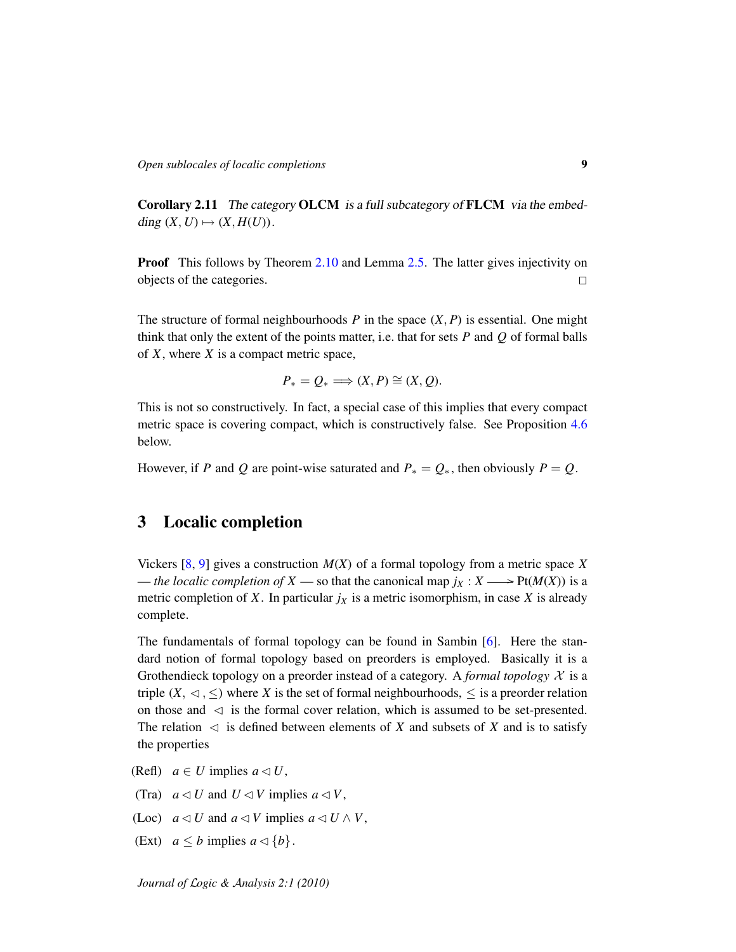<span id="page-8-0"></span>Corollary 2.11 The category OLCM is a full subcategory of FLCM via the embedding  $(X, U) \mapsto (X, H(U)).$ 

**Proof** This follows by Theorem [2.10](#page-7-0) and Lemma [2.5.](#page-5-0) The latter gives injectivity on objects of the categories.  $\Box$ 

The structure of formal neighbourhoods  $P$  in the space  $(X, P)$  is essential. One might think that only the extent of the points matter, i.e. that for sets *P* and *Q* of formal balls of *X*, where *X* is a compact metric space,

$$
P_* = Q_* \Longrightarrow (X, P) \cong (X, Q).
$$

This is not so constructively. In fact, a special case of this implies that every compact metric space is covering compact, which is constructively false. See Proposition [4.6](#page-20-6) below.

However, if *P* and *Q* are point-wise saturated and  $P_* = Q_*$ , then obviously  $P = Q$ .

# 3 Localic completion

Vickers [\[8,](#page-21-0) [9\]](#page-21-1) gives a construction *M*(*X*) of a formal topology from a metric space *X* — *the localic completion of*  $X$  — so that the canonical map  $j_X : X \longrightarrow \text{Pt}(M(X))$  is a metric completion of *X*. In particular  $j_X$  is a metric isomorphism, in case *X* is already complete.

The fundamentals of formal topology can be found in Sambin [\[6\]](#page-20-2). Here the standard notion of formal topology based on preorders is employed. Basically it is a Grothendieck topology on a preorder instead of a category. A *formal topology*  $\mathcal X$  is a triple  $(X, \triangleleft, \leq)$  where *X* is the set of formal neighbourhoods,  $\leq$  is a preorder relation on those and  $\leq$  is the formal cover relation, which is assumed to be set-presented. The relation  $\leq$  is defined between elements of *X* and subsets of *X* and is to satisfy the properties

- (Refl)  $a \in U$  implies  $a \triangleleft U$ ,
- (Tra)  $a \triangleleft U$  and  $U \triangleleft V$  implies  $a \triangleleft V$ ,
- (Loc)  $a \triangleleft U$  and  $a \triangleleft V$  implies  $a \triangleleft U \wedge V$ ,
- (Ext)  $a \leq b$  implies  $a \triangleleft \{b\}.$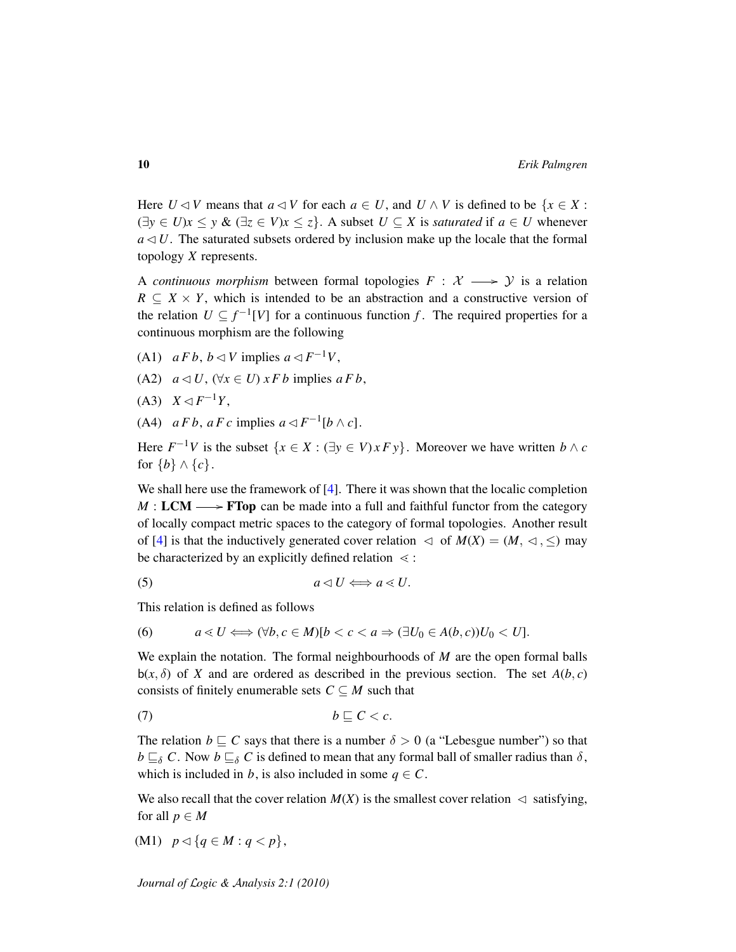Here  $U \triangleleft V$  means that  $a \triangleleft V$  for each  $a \in U$ , and  $U \wedge V$  is defined to be  $\{x \in X :$  $(\exists y \in U)x \le y \& (\exists z \in V)x \le z$ . A subset  $U \subseteq X$  is *saturated* if  $a \in U$  whenever  $a \triangleleft U$ . The saturated subsets ordered by inclusion make up the locale that the formal topology *X* represents.

A *continuous morphism* between formal topologies  $F: \mathcal{X} \longrightarrow \mathcal{Y}$  is a relation  $R \subseteq X \times Y$ , which is intended to be an abstraction and a constructive version of the relation  $U \subseteq f^{-1}[V]$  for a continuous function f. The required properties for a continuous morphism are the following

- (A1)  $a F b$ ,  $b \triangleleft V$  implies  $a \triangleleft F^{-1} V$ ,
- (A2)  $a \triangleleft U$ ,  $(\forall x \in U)$  *xFb* implies  $aFb$ ,
- $(A3)$  *X*  $\lhd$  *F*<sup>-1</sup>*Y*,
- (A4)  $a F b, a F c$  implies  $a \triangleleft F^{-1}[b \wedge c]$ .

Here  $F^{-1}V$  is the subset  $\{x \in X : (\exists y \in V) \times F \}$ . Moreover we have written  $b \wedge c$ for  ${b} \wedge {c}$ .

We shall here use the framework of [\[4\]](#page-20-3). There it was shown that the localic completion  $M: LCM \longrightarrow FTop$  can be made into a full and faithful functor from the category of locally compact metric spaces to the category of formal topologies. Another result of [\[4\]](#page-20-3) is that the inductively generated cover relation  $\lhd$  of  $M(X) = (M, \lhd, \leq)$  may be characterized by an explicitly defined relation  $\leq$  :

<span id="page-9-0"></span>
$$
(5) \t a \lhd U \Longleftrightarrow a \lhd U.
$$

This relation is defined as follows

(6) 
$$
a \lessdot U \Longleftrightarrow (\forall b, c \in M)[b < c < a \Rightarrow (\exists U_0 \in A(b, c))U_0 < U].
$$

We explain the notation. The formal neighbourhoods of *M* are the open formal balls  $b(x, \delta)$  of *X* and are ordered as described in the previous section. The set  $A(b, c)$ consists of finitely enumerable sets  $C \subseteq M$  such that

$$
(7) \t b \sqsubseteq C < c.
$$

The relation  $b \sqsubseteq C$  says that there is a number  $\delta > 0$  (a "Lebesgue number") so that  $b \sqsubseteq_{\delta} C$ . Now  $b \sqsubseteq_{\delta} C$  is defined to mean that any formal ball of smaller radius than  $\delta$ , which is included in *b*, is also included in some  $q \in C$ .

We also recall that the cover relation  $M(X)$  is the smallest cover relation  $\lhd$  satisfying, for all  $p \in M$ 

$$
(M1) \quad p \lhd \{q \in M : q < p\},
$$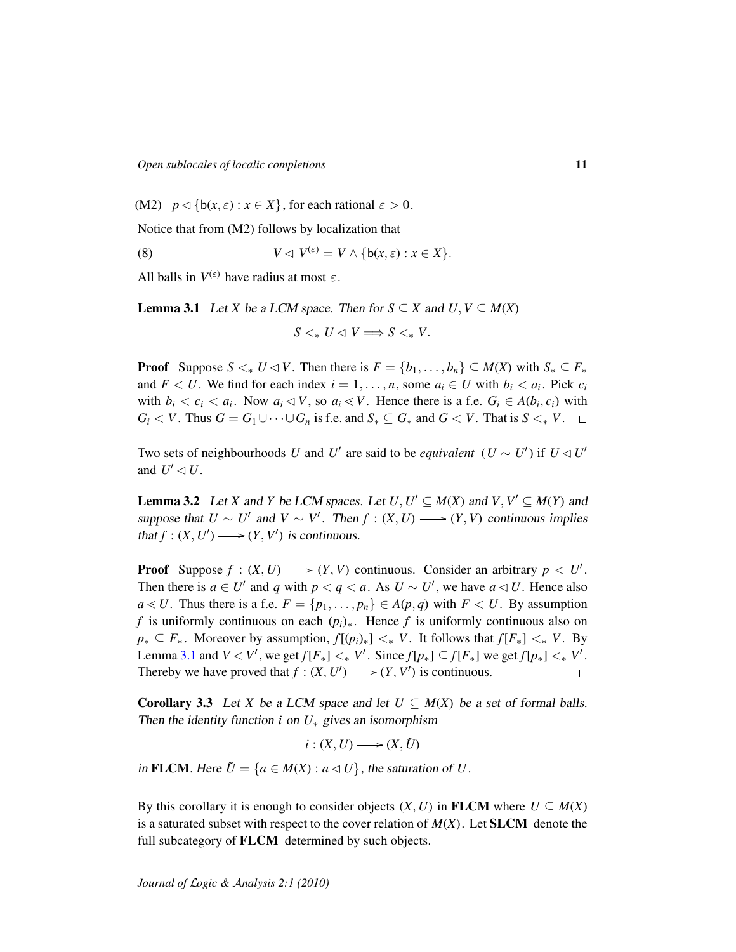(M2)  $p \triangleleft \{ b(x, \varepsilon) : x \in X \}$ , for each rational  $\varepsilon > 0$ .

Notice that from (M2) follows by localization that

(8) 
$$
V \lhd V^{(\varepsilon)} = V \wedge \{b(x, \varepsilon) : x \in X\}.
$$

All balls in  $V^{(\varepsilon)}$  have radius at most  $\varepsilon$ .

<span id="page-10-0"></span>**Lemma 3.1** Let *X* be a LCM space. Then for  $S \subseteq X$  and  $U, V \subseteq M(X)$ 

<span id="page-10-3"></span> $S \leq_{*} U \leq V \Longrightarrow S \leq_{*} V.$ 

**Proof** Suppose  $S \leq_{*} U \leq V$ . Then there is  $F = \{b_1, \ldots, b_n\} \subseteq M(X)$  with  $S_* \subseteq F_*$ and  $F < U$ . We find for each index  $i = 1, \ldots, n$ , some  $a_i \in U$  with  $b_i < a_i$ . Pick  $c_i$ with  $b_i < c_i < a_i$ . Now  $a_i \triangleleft V$ , so  $a_i \triangleleft V$ . Hence there is a f.e.  $G_i \in A(b_i, c_i)$  with *G*<sub>*i*</sub> < *V*. Thus *G* = *G*<sub>1</sub>∪···∪*G*<sub>*n*</sub> is f.e. and *S*<sub>\*</sub> ⊆ *G*<sub>\*</sub> and *G* < *V*. That is *S* <<sub>\*</sub> *V*. □

Two sets of neighbourhoods *U* and *U'* are said to be *equivalent*  $(U \sim U')$  if  $U \triangleleft U'$ and  $U' \lhd U$ .

<span id="page-10-2"></span>**Lemma 3.2** Let *X* and *Y* be LCM spaces. Let  $U, U' \subseteq M(X)$  and  $V, V' \subseteq M(Y)$  and suppose that  $U \sim U'$  and  $V \sim V'$ . Then  $f : (X, U) \longrightarrow (Y, V)$  continuous implies that  $f: (X, U') \longrightarrow (Y, V')$  is continuous.

**Proof** Suppose  $f : (X, U) \longrightarrow (Y, V)$  continuous. Consider an arbitrary  $p < U'$ . Then there is  $a \in U'$  and *q* with  $p < q < a$ . As  $U \sim U'$ , we have  $a \triangleleft U$ . Hence also *a* ≤ *U*. Thus there is a f.e. *F* = { $p_1, \ldots, p_n$ } ∈ *A*( $p, q$ ) with *F* < *U*. By assumption *f* is uniformly continuous on each  $(p_i)_*$ . Hence *f* is uniformly continuous also on  $p_* \subseteq F_*$ . Moreover by assumption,  $f[(p_i)_*] <_* V$ . It follows that  $f[F_*] <_* V$ . By Lemma [3.1](#page-10-0) and  $V \lhd V'$ , we get  $f[F_*] \lhd_* V'$ . Since  $f[p_*] \subseteq f[F_*]$  we get  $f[p_*] \lhd_* V'$ . Thereby we have proved that  $f : (X, U') \longrightarrow (Y, V')$  is continuous.  $\Box$ 

<span id="page-10-1"></span>**Corollary 3.3** Let *X* be a LCM space and let  $U \subseteq M(X)$  be a set of formal balls. Then the identity function *i* on  $U_*$  gives an isomorphism

 $i:(X, U) \longrightarrow (X, \tilde{U})$ 

in FLCM. Here  $\tilde{U} = \{a \in M(X) : a \triangleleft U\}$ , the saturation of *U*.

By this corollary it is enough to consider objects  $(X, U)$  in FLCM where  $U \subseteq M(X)$ is a saturated subset with respect to the cover relation of  $M(X)$ . Let **SLCM** denote the full subcategory of **FLCM** determined by such objects.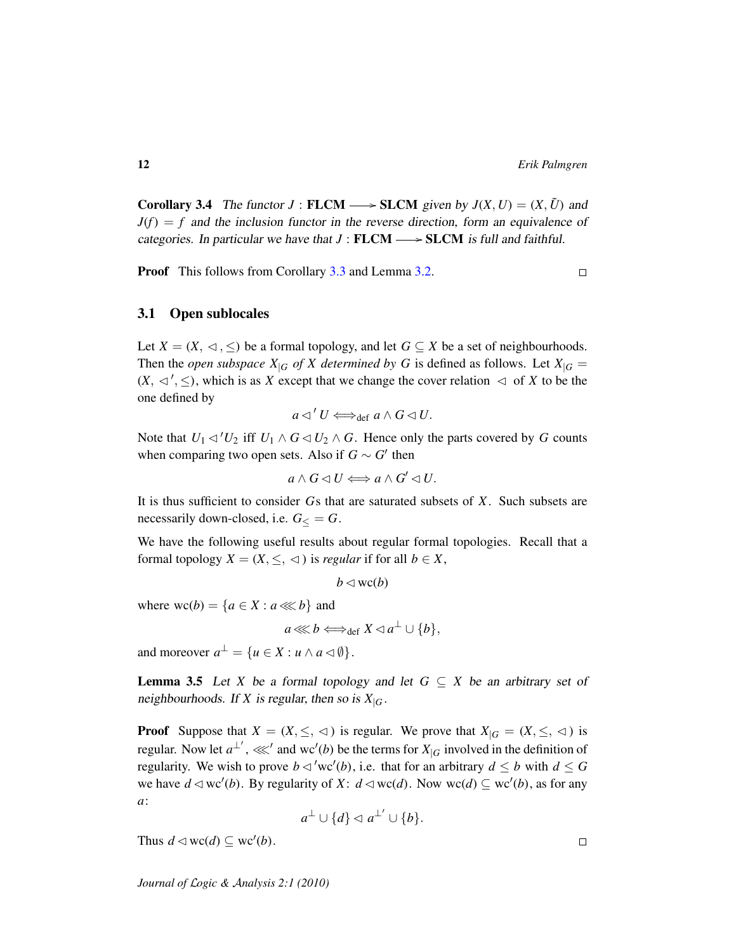<span id="page-11-1"></span>**Corollary 3.4** The functor  $J : \textbf{FLCM} \longrightarrow \textbf{SLCM}$  given by  $J(X, U) = (X, \tilde{U})$  and  $J(f) = f$  and the inclusion functor in the reverse direction, form an equivalence of categories. In particular we have that  $J : FLCM \longrightarrow SLCM$  is full and faithful.

**Proof** This follows from Corollary [3.3](#page-10-1) and Lemma [3.2.](#page-10-2)

 $\Box$ 

#### 3.1 Open sublocales

Let  $X = (X, \lhd, \leq)$  be a formal topology, and let  $G \subseteq X$  be a set of neighbourhoods. Then the *open subspace*  $X|_G$  *of* X determined by G is defined as follows. Let  $X|_G =$  $(X, \triangleleft', \leq)$ , which is as *X* except that we change the cover relation  $\triangleleft$  of *X* to be the one defined by

$$
a \triangleleft' U \Longleftrightarrow_{\text{def}} a \wedge G \triangleleft U.
$$

Note that  $U_1 \triangleleft' U_2$  iff  $U_1 \wedge G \triangleleft U_2 \wedge G$ . Hence only the parts covered by *G* counts when comparing two open sets. Also if  $G \sim G'$  then

$$
a \wedge G \lhd U \Longleftrightarrow a \wedge G' \lhd U.
$$

It is thus sufficient to consider *G*s that are saturated subsets of *X*. Such subsets are necessarily down-closed, i.e.  $G<sub>lt</sub> = G$ .

We have the following useful results about regular formal topologies. Recall that a formal topology  $X = (X, \leq, \leq)$  is *regular* if for all  $b \in X$ ,

 $b \triangleleft$  wc(*b*)

where  $wc(b) = {a \in X : a \ll b}$  and

$$
a \lll b \Longleftrightarrow_{\text{def}} X \lhd a^{\perp} \cup \{b\},\
$$

and moreover  $a^{\perp} = \{u \in X : u \wedge a \lhd \emptyset\}.$ 

<span id="page-11-0"></span>**Lemma 3.5** Let *X* be a formal topology and let  $G \subseteq X$  be an arbitrary set of neighbourhoods. If *X* is regular, then so is  $X|_G$ .

**Proof** Suppose that  $X = (X, \leq, \leq)$  is regular. We prove that  $X_{|G} = (X, \leq, \leq)$  is regular. Now let  $a^{\perp'}$ ,  $\lll'$  and wc'(*b*) be the terms for  $X_{|G}$  involved in the definition of regularity. We wish to prove  $b \triangleleft '$  wc'(*b*), i.e. that for an arbitrary  $d \le b$  with  $d \le G$ we have  $d \triangleleft wc'(b)$ . By regularity of  $X: d \triangleleft wc(d)$ . Now  $wc(d) \subseteq wc'(b)$ , as for any *a*:

$$
a^{\perp} \cup \{d\} \lhd a^{\perp'} \cup \{b\}.
$$

Thus  $d \triangleleft wc(d) \subseteq wc'(b)$ .

 $\Box$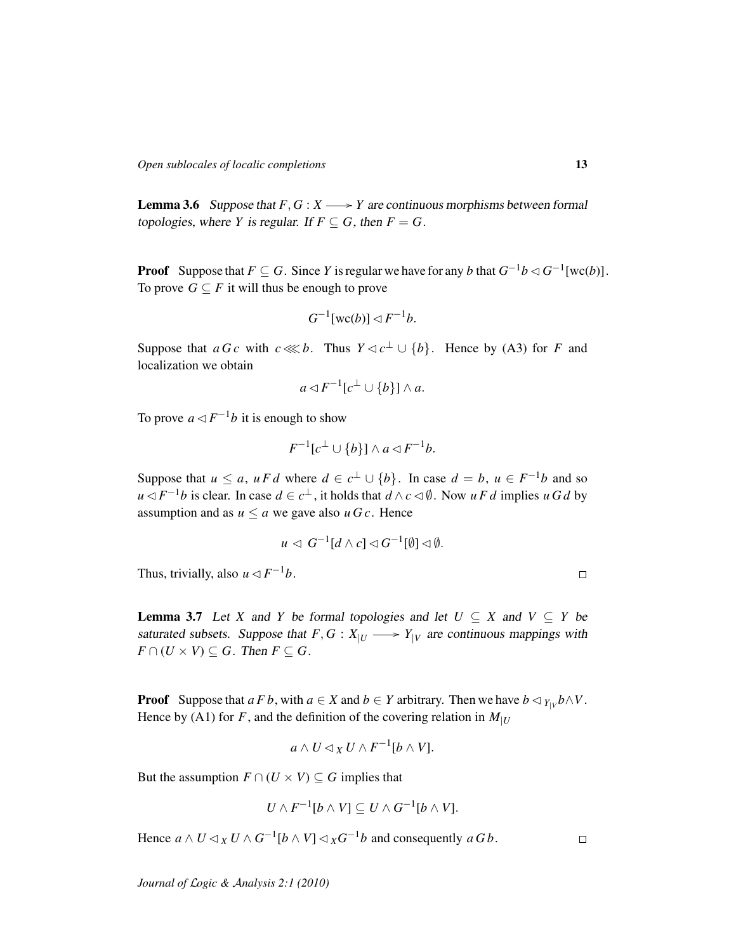<span id="page-12-0"></span>**Lemma 3.6** Suppose that  $F, G: X \longrightarrow Y$  are continuous morphisms between formal topologies, where *Y* is regular. If  $F \subseteq G$ , then  $F = G$ .

**Proof** Suppose that  $F \subseteq G$ . Since *Y* is regular we have for any *b* that  $G^{-1}b \triangleleft G^{-1}[\text{wc}(b)]$ . To prove  $G \subseteq F$  it will thus be enough to prove

$$
G^{-1}[{\rm wc}(b)] \triangleleft F^{-1}b.
$$

Suppose that *a G c* with  $c \lll b$ . Thus  $Y \lhd c^{\perp} \cup \{b\}$ . Hence by (A3) for *F* and localization we obtain

$$
a \triangleleft F^{-1}[c^{\perp} \cup \{b\}] \wedge a.
$$

To prove  $a \triangleleft F^{-1}b$  it is enough to show

$$
F^{-1}[c^{\perp} \cup \{b\}] \wedge a \triangleleft F^{-1}b.
$$

Suppose that  $u \le a$ ,  $u F d$  where  $d \in c^{\perp} \cup \{b\}$ . In case  $d = b$ ,  $u \in F^{-1}b$  and so *u*  $\lhd F^{-1}b$  is clear. In case *d* ∈ *c*<sup>⊥</sup>, it holds that *d* ∧ *c*  $\lhd$  Ø. Now *u F d* implies *u G d* by assumption and as  $u \le a$  we gave also  $u \cdot G$ . Hence

$$
u \triangleleft G^{-1}[d \wedge c] \triangleleft G^{-1}[\emptyset] \triangleleft \emptyset.
$$

Thus, trivially, also  $u \triangleleft F^{-1}b$ .

<span id="page-12-1"></span>**Lemma 3.7** Let *X* and *Y* be formal topologies and let  $U \subseteq X$  and  $V \subseteq Y$  be saturated subsets. Suppose that  $F, G: X_{|U} \longrightarrow Y_{|V}$  are continuous mappings with  $F \cap (U \times V) \subseteq G$ . Then  $F \subseteq G$ .

**Proof** Suppose that  $a \in B$ , with  $a \in X$  and  $b \in Y$  arbitrary. Then we have  $b \triangleleft Y_{|V} b \wedge V$ . Hence by (A1) for *F*, and the definition of the covering relation in  $M_{|U}$ 

$$
a \wedge U \lhd_X U \wedge F^{-1}[b \wedge V].
$$

But the assumption  $F \cap (U \times V) \subseteq G$  implies that

$$
U \wedge F^{-1}[b \wedge V] \subseteq U \wedge G^{-1}[b \wedge V].
$$

Hence  $a \wedge U \triangleleft_X U \wedge G^{-1}[b \wedge V] \triangleleft_X G^{-1}b$  and consequently  $a G b$ .

 $\Box$ 

 $\Box$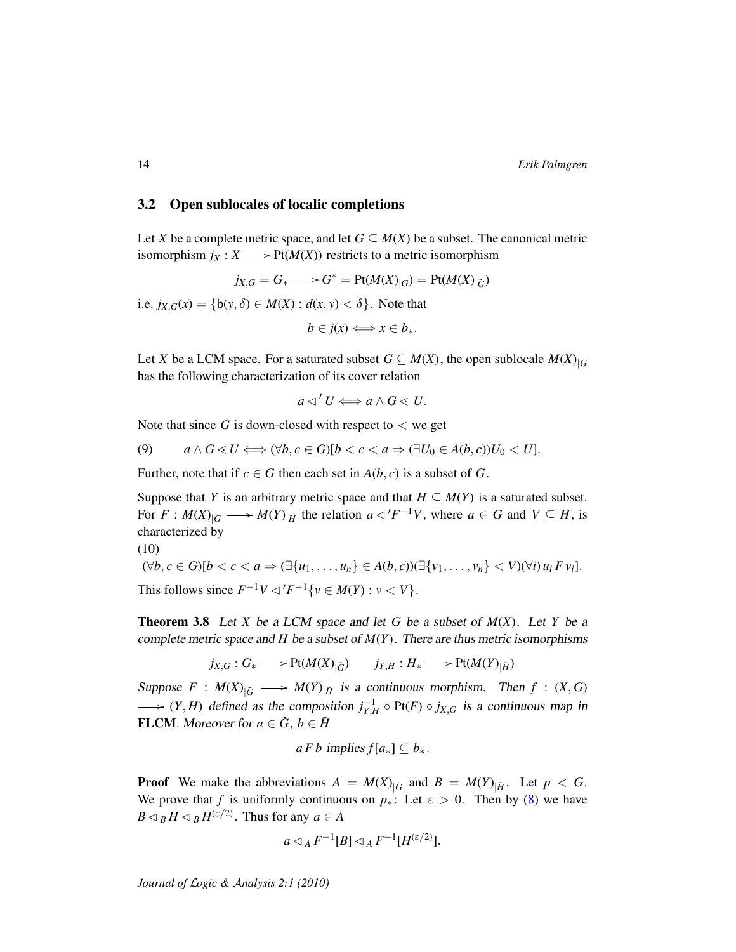#### 3.2 Open sublocales of localic completions

Let *X* be a complete metric space, and let  $G \subseteq M(X)$  be a subset. The canonical metric isomorphism  $j_X : X \longrightarrow \text{Pt}(M(X))$  restricts to a metric isomorphism

*jX*,*G* = *G*<sup>∗</sup> = Pt(*M*(*X*)<sub>|*G*</sub>) = Pt(*M*(*X*)<sub>| $\tilde{G}$ <sup>)</sup></sub>

i.e.  $j_{X,G}(x) = \{b(y, \delta) \in M(X) : d(x, y) < \delta\}$ . Note that

 $b \in i(x) \Longleftrightarrow x \in b_*.$ 

Let *X* be a LCM space. For a saturated subset  $G \subseteq M(X)$ , the open sublocale  $M(X)_{|G}$ has the following characterization of its cover relation

$$
a \triangleleft' U \Longleftrightarrow a \wedge G \triangleleft U.
$$

Note that since G is down-closed with respect to  $\lt$  we get

(9) 
$$
a \wedge G \leq U \Longleftrightarrow (\forall b, c \in G)[b < c < a \Rightarrow (\exists U_0 \in A(b, c))U_0 < U].
$$

Further, note that if  $c \in G$  then each set in  $A(b, c)$  is a subset of G.

Suppose that *Y* is an arbitrary metric space and that  $H \subseteq M(Y)$  is a saturated subset. For  $F: M(X)_{|G} \longrightarrow M(Y)_{|H}$  the relation  $a \triangleleft 'F^{-1}V$ , where  $a \in G$  and  $V \subseteq H$ , is characterized by (10)

<span id="page-13-0"></span>
$$
(\forall b, c \in G)[b < c < a \Rightarrow (\exists \{u_1, \dots, u_n\} \in A(b, c))(\exists \{v_1, \dots, v_n\} < V)(\forall i) \, u_i \, F \, v_i].
$$
\nThis follows since  $F^{-1}V \triangleleft' F^{-1} \{v \in M(Y) : v < V\}.$ 

<span id="page-13-1"></span>**Theorem 3.8** Let *X* be a LCM space and let *G* be a subset of  $M(X)$ . Let *Y* be a complete metric space and *H* be a subset of  $M(Y)$ . There are thus metric isomorphisms

$$
j_{X,G}: G_* \longrightarrow \text{Pt}(M(X)_{|\tilde{G}}) \qquad j_{Y,H}: H_* \longrightarrow \text{Pt}(M(Y)_{|\tilde{H}})
$$

Suppose  $F : M(X)_{|\tilde{G}} \longrightarrow M(Y)_{|\tilde{H}}$  is a continuous morphism. Then  $f : (X, G)$  $\mathcal{L}(Y, H)$  defined as the composition  $j_{Y,H}^{-1} \circ \text{Pt}(F) \circ j_{X,G}$  is a continuous map in **FLCM.** Moreover for  $a \in \tilde{G}$ ,  $b \in \tilde{H}$ 

$$
a F b
$$
 implies  $f[a_*] \subseteq b_*$ .

**Proof** We make the abbreviations  $A = M(X)_{|\tilde{G}}$  and  $B = M(Y)_{|\tilde{H}}$ . Let  $p < G$ . We prove that *f* is uniformly continuous on  $p^*$ : Let  $\varepsilon > 0$ . Then by [\(8\)](#page-10-3) we have  $B \triangleleft_B H \triangleleft_B H^{(\varepsilon/2)}$ . Thus for any  $a \in A$ 

$$
a \triangleleft_A F^{-1}[B] \triangleleft_A F^{-1}[H^{(\varepsilon/2)}].
$$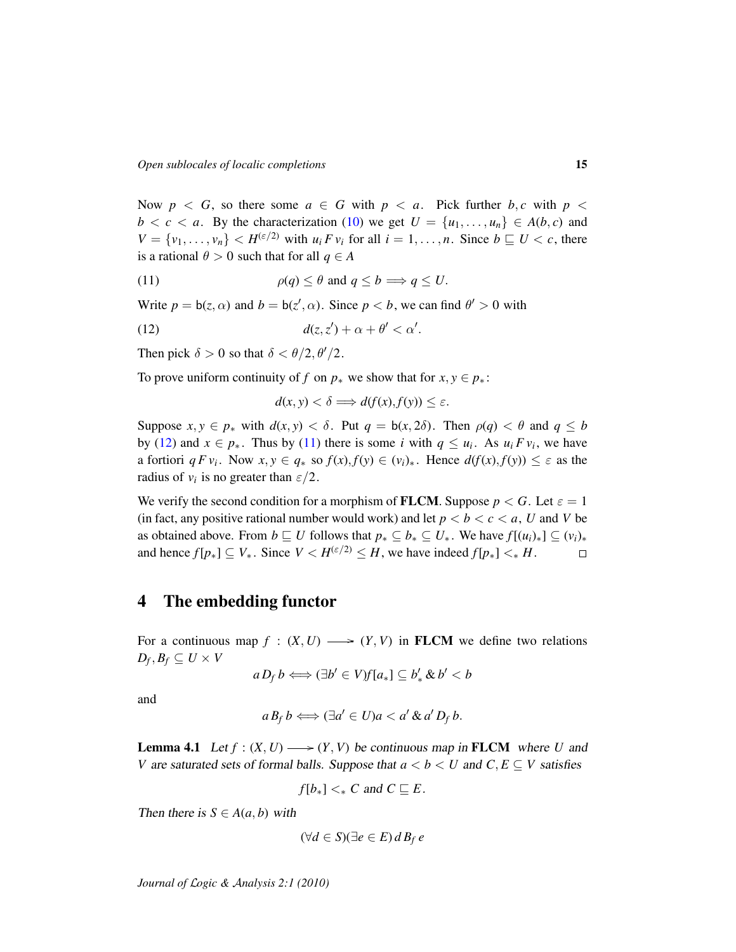Now  $p \leq G$ , so there some  $a \in G$  with  $p \leq a$ . Pick further  $b, c$  with  $p \leq a$  $b < c < a$ . By the characterization [\(10\)](#page-13-0) we get  $U = \{u_1, \ldots, u_n\} \in A(b, c)$  and  $V = \{v_1, \ldots, v_n\}$   $\lt H^{(\varepsilon/2)}$  with  $u_i F v_i$  for all  $i = 1, \ldots, n$ . Since  $b \sqsubseteq U \lt c$ , there is a rational  $\theta > 0$  such that for all  $q \in A$ 

(11) 
$$
\rho(q) \leq \theta \text{ and } q \leq b \implies q \leq U.
$$

Write  $p = b(z, \alpha)$  and  $b = b(z', \alpha)$ . Since  $p < b$ , we can find  $\theta' > 0$  with

$$
d(z, z') + \alpha + \theta' < \alpha'.
$$

Then pick  $\delta > 0$  so that  $\delta < \theta/2, \theta'/2$ .

To prove uniform continuity of *f* on  $p_*$  we show that for  $x, y \in p_*$ :

<span id="page-14-1"></span><span id="page-14-0"></span>
$$
d(x, y) < \delta \Longrightarrow d(f(x), f(y)) \le \varepsilon.
$$

Suppose  $x, y \in p^*$  with  $d(x, y) < \delta$ . Put  $q = b(x, 2\delta)$ . Then  $p(q) < \theta$  and  $q \le b$ by [\(12\)](#page-14-0) and  $x \in p_*$ . Thus by [\(11\)](#page-14-1) there is some *i* with  $q \leq u_i$ . As  $u_i F v_i$ , we have a fortiori  $q F v_i$ . Now  $x, y \in q_*$  so  $f(x), f(y) \in (v_i)_*$ . Hence  $d(f(x), f(y)) \leq \varepsilon$  as the radius of  $v_i$  is no greater than  $\varepsilon/2$ .

We verify the second condition for a morphism of **FLCM**. Suppose  $p < G$ . Let  $\varepsilon = 1$ (in fact, any positive rational number would work) and let  $p < b < c < a$ , U and V be as obtained above. From  $b \sqsubseteq U$  follows that  $p_* \subseteq b_* \subseteq U_*$ . We have  $f[(u_i)_*] \subseteq (v_i)_*$ and hence  $f[p_*] \subseteq V_*$ . Since  $V < H^{(\varepsilon/2)} \leq H$ , we have indeed  $f[p_*] <_* H$ .  $\Box$ 

# 4 The embedding functor

For a continuous map  $f : (X, U) \longrightarrow (Y, V)$  in **FLCM** we define two relations  $D_f, B_f \subseteq U \times V$ 

$$
a D_f b \Longleftrightarrow (\exists b' \in V) f [a_*] \subseteq b'_* \& b' < b
$$

and

$$
a B_f b \Longleftrightarrow (\exists a' \in U)a < a' \& a' D_f b.
$$

<span id="page-14-2"></span>**Lemma 4.1** Let  $f : (X, U) \longrightarrow (Y, V)$  be continuous map in **FLCM** where *U* and *V* are saturated sets of formal balls. Suppose that  $a < b < U$  and  $C, E \subseteq V$  satisfies

$$
f[b_*] <_* C \text{ and } C \sqsubseteq E.
$$

Then there is  $S \in A(a, b)$  with

$$
(\forall d \in S)(\exists e \in E) d B_f e
$$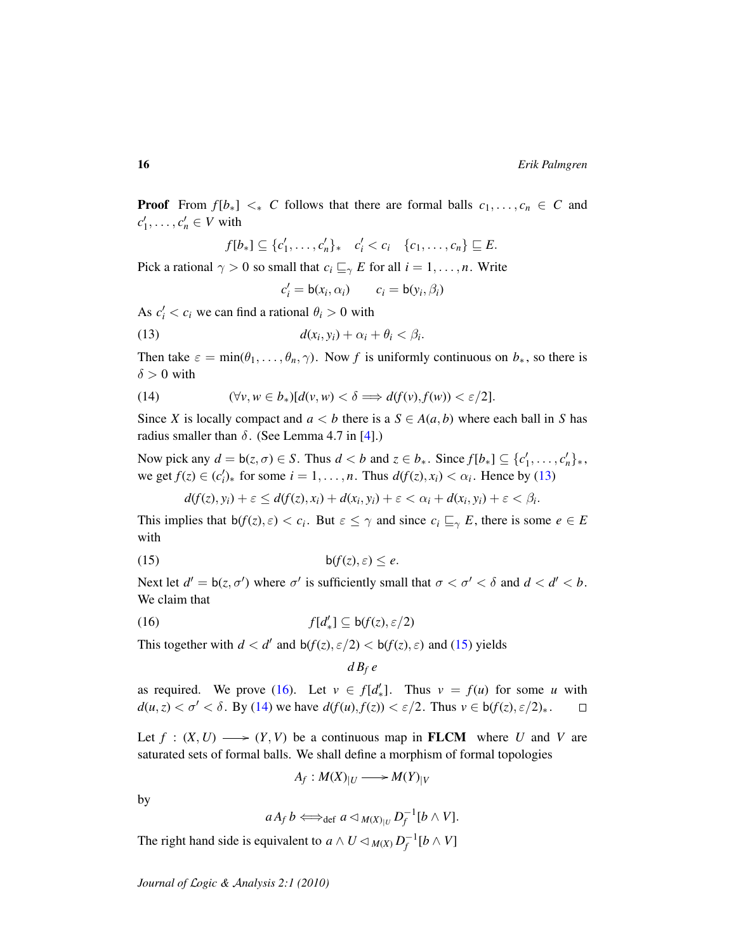**Proof** From  $f[b_*] <_{*} C$  follows that there are formal balls  $c_1, \ldots, c_n \in C$  and  $c'_1, \ldots, c'_n \in V$  with

$$
f[b_*] \subseteq \{c'_1,\ldots,c'_n\}_* \quad c'_i < c_i \quad \{c_1,\ldots,c_n\} \sqsubseteq E.
$$

Pick a rational  $\gamma > 0$  so small that  $c_i \sqsubseteq_{\gamma} E$  for all  $i = 1, \ldots, n$ . Write

<span id="page-15-0"></span>
$$
c'_i = \mathsf{b}(x_i, \alpha_i) \qquad c_i = \mathsf{b}(y_i, \beta_i)
$$

As  $c_i' < c_i$  we can find a rational  $\theta_i > 0$  with

$$
d(x_i, y_i) + \alpha_i + \theta_i < \beta_i.
$$

Then take  $\varepsilon = \min(\theta_1, \dots, \theta_n, \gamma)$ . Now *f* is uniformly continuous on  $b_*,$  so there is  $\delta > 0$  with

<span id="page-15-3"></span>(14) 
$$
(\forall v, w \in b_*)[d(v, w) < \delta \Longrightarrow d(f(v), f(w)) < \varepsilon/2].
$$

Since *X* is locally compact and  $a < b$  there is a  $S \in A(a, b)$  where each ball in *S* has radius smaller than  $\delta$ . (See Lemma 4.7 in [\[4\]](#page-20-3).)

Now pick any  $d = b(z, \sigma) \in S$ . Thus  $d < b$  and  $z \in b_*$ . Since  $f[b_*] \subseteq \{c'_1, \ldots, c'_n\}_*$ , we get  $f(z) \in (c_i')_*$  for some  $i = 1, ..., n$ . Thus  $d(f(z), x_i) < \alpha_i$ . Hence by [\(13\)](#page-15-0)

$$
d(f(z), y_i) + \varepsilon \leq d(f(z), x_i) + d(x_i, y_i) + \varepsilon < \alpha_i + d(x_i, y_i) + \varepsilon < \beta_i.
$$

This implies that  $b(f(z), \varepsilon) < c_i$ . But  $\varepsilon \leq \gamma$  and since  $c_i \sqsubseteq_{\gamma} E$ , there is some  $e \in E$ with

$$
b(f(z), \varepsilon) \le e.
$$

Next let  $d' = b(z, \sigma')$  where  $\sigma'$  is sufficiently small that  $\sigma < \sigma' < \delta$  and  $d < d' < b$ . We claim that

(16) 
$$
f[d'_*] \subseteq b(f(z), \varepsilon/2)
$$

This together with  $d < d'$  and  $b(f(z), \varepsilon/2) < b(f(z), \varepsilon)$  and [\(15\)](#page-15-1) yields

<span id="page-15-2"></span><span id="page-15-1"></span>
$$
d\,B_f\,e
$$

as required. We prove [\(16\)](#page-15-2). Let  $v \in f[d'_*]$ . Thus  $v = f(u)$  for some *u* with  $d(u, z) < \sigma' < \delta$ . By [\(14\)](#page-15-3) we have  $d(f(u), f(z)) < \varepsilon/2$ . Thus  $v \in b(f(z), \varepsilon/2)_*$ .  $\Box$ 

Let  $f : (X, U) \longrightarrow (Y, V)$  be a continuous map in **FLCM** where *U* and *V* are saturated sets of formal balls. We shall define a morphism of formal topologies

$$
A_f: M(X)_{|U} \longrightarrow M(Y)_{|V}
$$

by

$$
aA_f b \Longleftrightarrow_{\text{def}} a \triangleleft_{M(X)_{|U}} D_f^{-1}[b \wedge V].
$$

The right hand side is equivalent to  $a \wedge U \triangleleft_{M(X)} D_f^{-1}[b \wedge V]$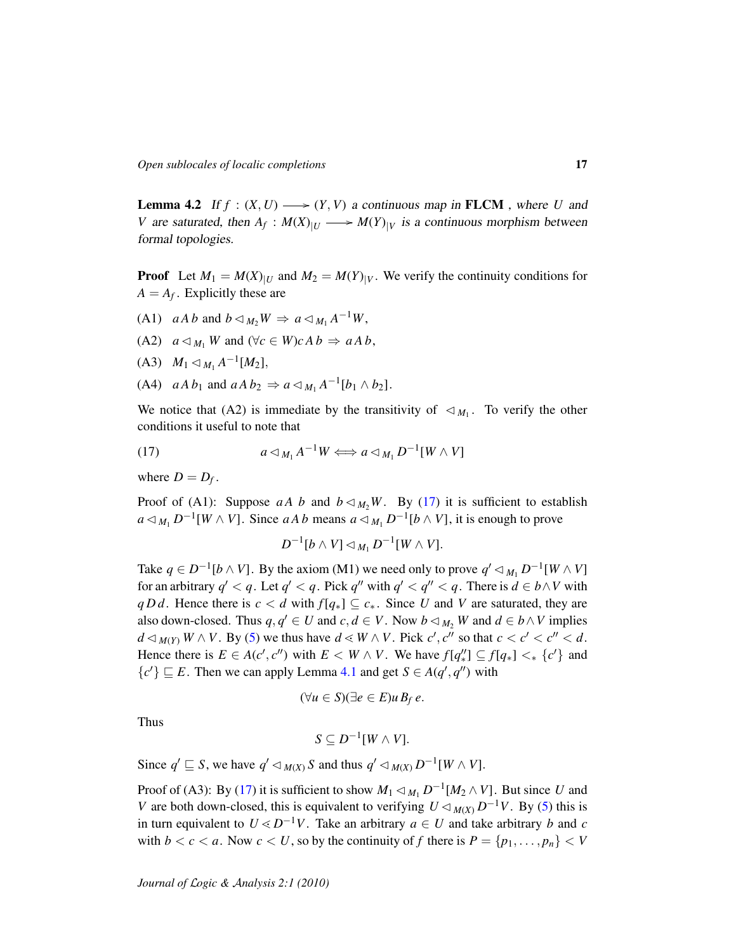**Lemma 4.2** If  $f : (X, U) \longrightarrow (Y, V)$  a continuous map in **FLCM**, where *U* and *V* are saturated, then  $A_f$ :  $M(X)_{|U}$   $\longrightarrow$   $M(Y)_{|V}$  is a continuous morphism between formal topologies.

**Proof** Let  $M_1 = M(X)_{|U}$  and  $M_2 = M(Y)_{|V}$ . We verify the continuity conditions for  $A = A_f$ . Explicitly these are

- (A1)  $aA b$  and  $b \triangleleft_{M_2} W \Rightarrow a \triangleleft_{M_1} A^{-1} W$ ,
- $(A2)$   $a \triangleleft_{M_1} W$  and  $(\forall c \in W) c A b \Rightarrow a A b$ ,
- $(M_1 \triangleleft_{M_1} A^{-1}[M_2],$
- (A4)  $aA b_1$  and  $aA b_2 \Rightarrow a \triangleleft_{M_1} A^{-1} [b_1 \wedge b_2].$

We notice that (A2) is immediate by the transitivity of  $\langle M_1, \rangle$  To verify the other conditions it useful to note that

(17) 
$$
a \triangleleft_{M_1} A^{-1} W \Longleftrightarrow a \triangleleft_{M_1} D^{-1} [W \wedge V]
$$

where  $D = D_f$ .

Proof of (A1): Suppose *aA b* and  $b \triangleleft M$ <sup>2</sup>*W*. By [\(17\)](#page-16-0) it is sufficient to establish *a*  $\triangleleft$  *M*<sub>1</sub> *D*<sup>-1</sup>[*W* ∧ *V*]. Since *aAb* means *a*  $\triangleleft$  *M*<sub>1</sub> *D*<sup>-1</sup>[*b* ∧ *V*], it is enough to prove

<span id="page-16-0"></span>
$$
D^{-1}[b\wedge V]\lhd_{M_1}D^{-1}[W\wedge V].
$$

Take  $q \in D^{-1}[b \wedge V]$ . By the axiom (M1) we need only to prove  $q' \lhd_{M_1} D^{-1}[W \wedge V]$ for an arbitrary  $q' < q$ . Let  $q' < q$ . Pick  $q''$  with  $q' < q'' < q$ . There is  $d \in b \wedge V$  with *q D d*. Hence there is  $c < d$  with  $f[q_*] \subseteq c_*$ . Since *U* and *V* are saturated, they are also down-closed. Thus  $q, q' \in U$  and  $c, d \in V$ . Now  $b \triangleleft_{M_2} W$  and  $d \in b \wedge V$  implies  $d \triangleleft_{M(Y)} W \wedge V$ . By [\(5\)](#page-9-0) we thus have  $d \triangleleft W \wedge V$ . Pick  $c', c''$  so that  $c < c' < c'' < d$ . Hence there is  $E \in A(c', c'')$  with  $E \lt W \wedge V$ . We have  $f[q''_*] \subseteq f[q_*] \lt_{*} \{c'\}$  and { $c'$ }  $\subseteq$  *E*. Then we can apply Lemma [4.1](#page-14-2) and get *S* ∈ *A*(*q*', *q*'') with

$$
(\forall u \in S)(\exists e \in E)u B_f e.
$$

Thus

$$
S\subseteq D^{-1}[W\wedge V].
$$

Since  $q' \sqsubseteq S$ , we have  $q' \lhd_{M(X)} S$  and thus  $q' \lhd_{M(X)} D^{-1}[W \wedge V]$ .

Proof of (A3): By [\(17\)](#page-16-0) it is sufficient to show  $M_1 \triangleleft_{M_1} D^{-1}[M_2 \wedge V]$ . But since *U* and *V* are both down-closed, this is equivalent to verifying  $U \lhd_{M(X)} D^{-1}V$ . By [\(5\)](#page-9-0) this is in turn equivalent to  $U \le D^{-1}V$ . Take an arbitrary  $a \in U$  and take arbitrary *b* and *c* with  $b < c < a$ . Now  $c < U$ , so by the continuity of f there is  $P = \{p_1, \ldots, p_n\} < V$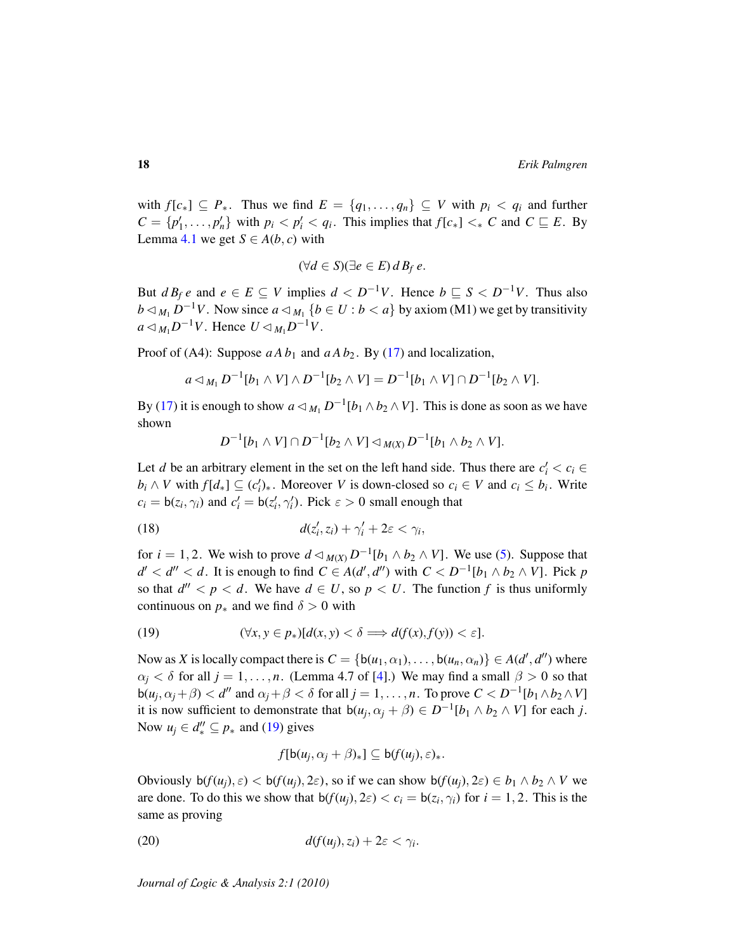with  $f[c_*] \subseteq P_*$ . Thus we find  $E = \{q_1, \ldots, q_n\} \subseteq V$  with  $p_i < q_i$  and further  $C = \{p'_1, \ldots, p'_n\}$  with  $p_i < p'_i < q_i$ . This implies that  $f[c_*] < _* C$  and  $C \sqsubseteq E$ . By Lemma [4.1](#page-14-2) we get  $S \in A(b, c)$  with

$$
(\forall d \in S)(\exists e \in E) d B_f e.
$$

But  $d B_f e$  and  $e \in E \subseteq V$  implies  $d < D^{-1}V$ . Hence  $b \subseteq S < D^{-1}V$ . Thus also *b*  $\lhd$  *M*<sub>1</sub> *D*<sup>−1</sup>*V*. Now since *a*  $\lhd$  *M*<sub>1</sub> {*b* ∈ *U* : *b* < *a*} by axiom (M1) we get by transitivity  $a \triangleleft_{M_1} D^{-1}V$ . Hence  $U \triangleleft_{M_1} D^{-1}V$ .

Proof of (A4): Suppose  $aAb_1$  and  $aAb_2$ . By [\(17\)](#page-16-0) and localization,

$$
a \triangleleft_{M_1} D^{-1}[b_1 \wedge V] \wedge D^{-1}[b_2 \wedge V] = D^{-1}[b_1 \wedge V] \cap D^{-1}[b_2 \wedge V].
$$

By [\(17\)](#page-16-0) it is enough to show  $a \triangleleft_{M_1} D^{-1} [b_1 \wedge b_2 \wedge V]$ . This is done as soon as we have shown

<span id="page-17-1"></span>
$$
D^{-1}[b_1 \wedge V] \cap D^{-1}[b_2 \wedge V] \triangleleft_{M(X)} D^{-1}[b_1 \wedge b_2 \wedge V].
$$

Let *d* be an arbitrary element in the set on the left hand side. Thus there are  $c_i' < c_i$  $b_i \wedge V$  with  $f[d_*] \subseteq (c'_i)_*$ . Moreover *V* is down-closed so  $c_i \in V$  and  $c_i \leq b_i$ . Write  $c_i = b(z_i, \gamma_i)$  and  $c'_i = b(z'_i, \gamma'_i)$ . Pick  $\varepsilon > 0$  small enough that

(18) 
$$
d(z'_i, z_i) + \gamma'_i + 2\varepsilon < \gamma_i,
$$

for  $i = 1, 2$ . We wish to prove  $d \triangleleft_{M(X)} D^{-1}[b_1 \wedge b_2 \wedge V]$ . We use [\(5\)](#page-9-0). Suppose that  $d' < d'' < d$ . It is enough to find  $C \in A(d', d'')$  with  $C < D^{-1}[b_1 \wedge b_2 \wedge V]$ . Pick *p* so that  $d'' < p < d$ . We have  $d \in U$ , so  $p < U$ . The function f is thus uniformly continuous on  $p_*$  and we find  $\delta > 0$  with

<span id="page-17-0"></span>(19) 
$$
(\forall x, y \in p_*)[d(x, y) < \delta \Longrightarrow d(f(x), f(y)) < \varepsilon].
$$

Now as *X* is locally compact there is  $C = \{b(u_1, \alpha_1), \ldots, b(u_n, \alpha_n)\} \in A(d', d'')$  where  $\alpha_i < \delta$  for all  $j = 1, \ldots, n$ . (Lemma 4.7 of [\[4\]](#page-20-3).) We may find a small  $\beta > 0$  so that  $b(u_j, \alpha_j + \beta) < d''$  and  $\alpha_j + \beta < \delta$  for all  $j = 1, \dots, n$ . To prove  $C < D^{-1}[b_1 \wedge b_2 \wedge V]$ it is now sufficient to demonstrate that  $b(u_j, \alpha_j + \beta) \in D^{-1}[b_1 \wedge b_2 \wedge V]$  for each *j*. Now  $u_j \in d''_* \subseteq p_*$  and [\(19\)](#page-17-0) gives

<span id="page-17-2"></span>
$$
f[b(u_j, \alpha_j + \beta)_*] \subseteq b(f(u_j), \varepsilon)_*.
$$

Obviously  $\mathsf{b}(f(u_i), \varepsilon) < \mathsf{b}(f(u_i), 2\varepsilon)$ , so if we can show  $\mathsf{b}(f(u_i), 2\varepsilon) \in b_1 \wedge b_2 \wedge V$  we are done. To do this we show that  $b(f(u_j), 2\varepsilon) < c_i = b(z_i, \gamma_i)$  for  $i = 1, 2$ . This is the same as proving

$$
d(f(u_j), z_i) + 2\varepsilon < \gamma_i.
$$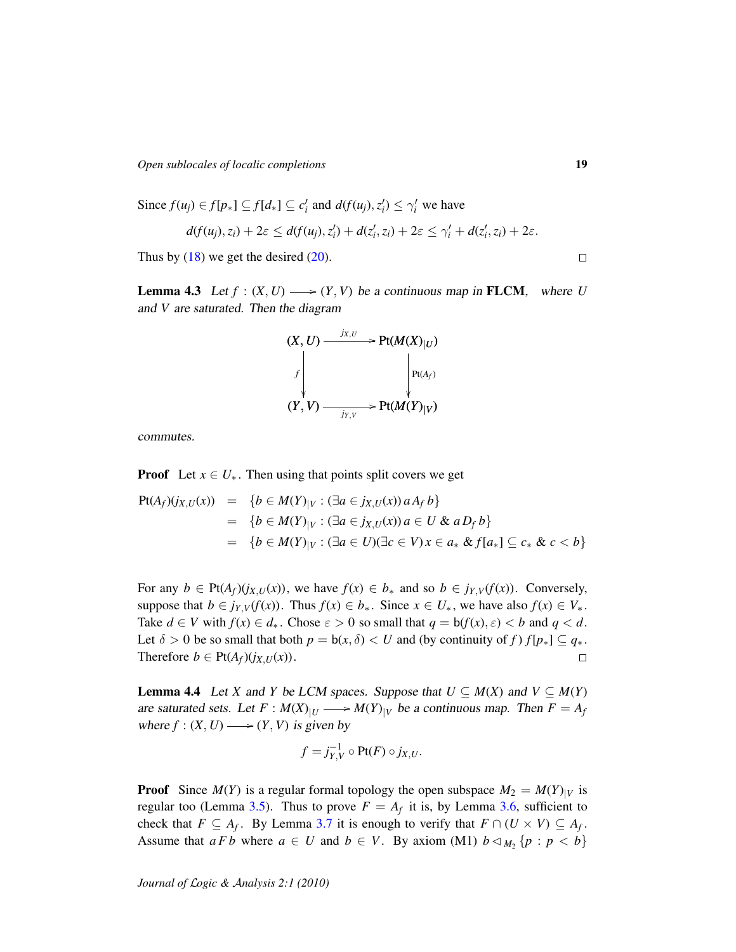*Open sublocales of localic completions* 19

Since 
$$
f(u_j) \in f[p_*] \subseteq f[d_*] \subseteq c'_i
$$
 and  $df(u_j), z'_i) \leq \gamma'_i$  we have  
\n
$$
d(f(u_j), z_i) + 2\varepsilon \leq d(f(u_j), z'_i) + d(z'_i, z_i) + 2\varepsilon \leq \gamma'_i + d(z'_i, z_i) + 2\varepsilon.
$$
\nThus, by (19) we get the desired (20).

Thus by  $(18)$  we get the desired  $(20)$ .

<span id="page-18-1"></span>**Lemma 4.3** Let  $f : (X, U) \longrightarrow (Y, V)$  be a continuous map in **FLCM**, where *U* and *V* are saturated. Then the diagram



commutes.

**Proof** Let  $x \in U_*$ . Then using that points split covers we get

$$
Pt(A_f)(j_{X,U}(x)) = \{b \in M(Y)_{|V} : (\exists a \in j_{X,U}(x)) a A_f b\}
$$
  
=  $\{b \in M(Y)_{|V} : (\exists a \in j_{X,U}(x)) a \in U \& a D_f b\}$   
=  $\{b \in M(Y)_{|V} : (\exists a \in U)(\exists c \in V) x \in a_* \& f[a_*] \subseteq c_* \& c < b\}$ 

For any  $b \in \text{Pt}(A_f)(j_{X,U}(x))$ , we have  $f(x) \in b_*$  and so  $b \in j_{Y,V}(f(x))$ . Conversely, suppose that  $b \in j_{Y,V}(f(x))$ . Thus  $f(x) \in b_*$ . Since  $x \in U_*$ , we have also  $f(x) \in V_*$ . Take  $d \in V$  with  $f(x) \in d_*$ . Chose  $\varepsilon > 0$  so small that  $q = b(f(x), \varepsilon) < b$  and  $q < d$ . Let  $\delta > 0$  be so small that both  $p = b(x, \delta) < U$  and (by continuity of f)  $f[p_*] \subseteq q_*$ . Therefore  $b \in \text{Pt}(A_f)(j_{X,U}(x))$ .  $\Box$ 

<span id="page-18-0"></span>**Lemma 4.4** Let *X* and *Y* be LCM spaces. Suppose that  $U \subseteq M(X)$  and  $V \subseteq M(Y)$ are saturated sets. Let  $F : M(X)_{|U} \longrightarrow M(Y)_{|V}$  be a continuous map. Then  $F = A_f$ where  $f : (X, U) \longrightarrow (Y, V)$  is given by

$$
f = j_{Y,V}^{-1} \circ \text{Pt}(F) \circ j_{X,U}.
$$

**Proof** Since  $M(Y)$  is a regular formal topology the open subspace  $M_2 = M(Y)|_V$  is regular too (Lemma [3.5\)](#page-11-0). Thus to prove  $F = A_f$  it is, by Lemma [3.6,](#page-12-0) sufficient to check that  $F \subseteq A_f$ . By Lemma [3.7](#page-12-1) it is enough to verify that  $F \cap (U \times V) \subseteq A_f$ . Assume that  $a F b$  where  $a \in U$  and  $b \in V$ . By axiom (M1)  $b \triangleleft_{M_2} \{p : p < b\}$ 

 $\Box$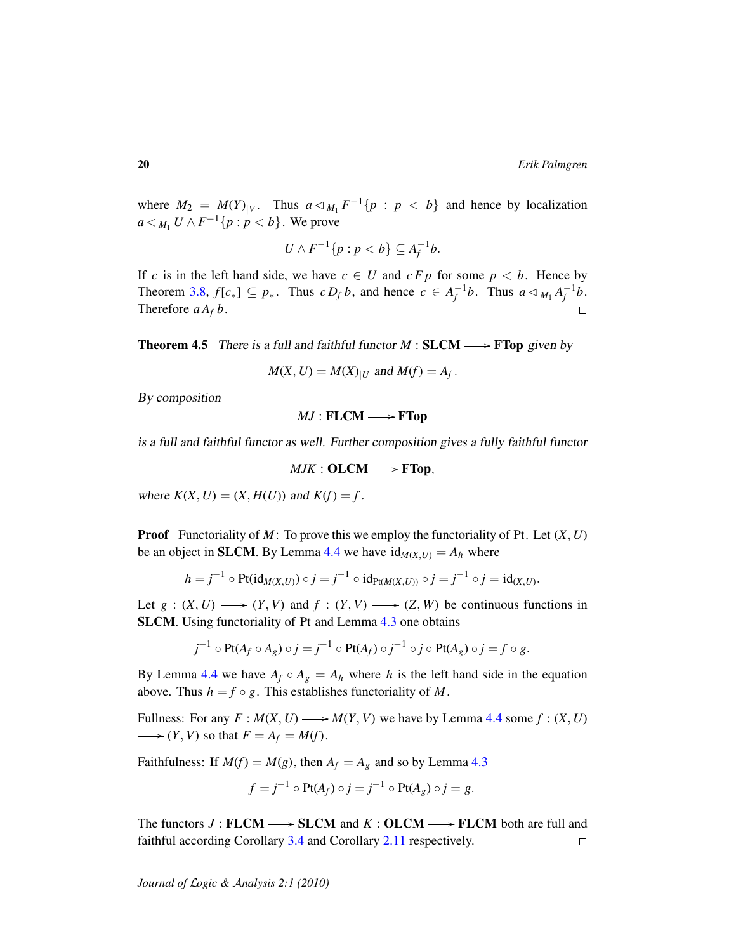where  $M_2 = M(Y)|_V$ . Thus  $a \triangleleft_{M_1} F^{-1} \{ p : p < b \}$  and hence by localization *a* ⊲ *M*<sub>1</sub> *U* ∧ *F*<sup>-1</sup>{*p* : *p* < *b*}. We prove

$$
U \wedge F^{-1}\{p : p < b\} \subseteq A_f^{-1}b.
$$

If *c* is in the left hand side, we have  $c \in U$  and  $c F p$  for some  $p < b$ . Hence by Theorem [3.8,](#page-13-1)  $f[c_*] \subseteq p_*$ . Thus  $c D_f b$ , and hence  $c \in A_f^{-1}b$ . Thus  $a \triangleleft_{M_1} A_f^{-1}b$ . Therefore  $a A_f b$ .  $\Box$ 

**Theorem 4.5** There is a full and faithful functor  $M : SLCM \longrightarrow FTop$  given by

$$
M(X, U) = M(X)_{|U}
$$
 and 
$$
M(f) = A_f.
$$

By composition

 $MJ$  : FLCM  $\longrightarrow$  FTop

is a full and faithful functor as well. Further composition gives a fully faithful functor

$$
MJK: {\bf OLCM} \longrightarrow {\bf FTop},
$$

where  $K(X, U) = (X, H(U))$  and  $K(f) = f$ .

Proof Functoriality of *M*: To prove this we employ the functoriality of Pt. Let (*X*, *U*) be an object in **SLCM**. By Lemma [4.4](#page-18-0) we have  $id_{M(X,U)} = A_h$  where

$$
h = j^{-1} \circ Pt(id_{M(X,U)}) \circ j = j^{-1} \circ id_{Pt(M(X,U))} \circ j = j^{-1} \circ j = id_{(X,U)}.
$$

Let  $g : (X, U) \longrightarrow (Y, V)$  and  $f : (Y, V) \longrightarrow (Z, W)$  be continuous functions in SLCM. Using functoriality of Pt and Lemma [4.3](#page-18-1) one obtains

$$
j^{-1} \circ \mathrm{Pt}(A_f \circ A_g) \circ j = j^{-1} \circ \mathrm{Pt}(A_f) \circ j^{-1} \circ j \circ \mathrm{Pt}(A_g) \circ j = f \circ g.
$$

By Lemma [4.4](#page-18-0) we have  $A_f \circ A_g = A_h$  where *h* is the left hand side in the equation above. Thus  $h = f \circ g$ . This establishes functoriality of M.

Fullness: For any  $F : M(X, U) \longrightarrow M(Y, V)$  we have by Lemma [4.4](#page-18-0) some  $f : (X, U)$  $\longrightarrow$   $(Y, V)$  so that  $F = A_f = M(f)$ .

Faithfulness: If  $M(f) = M(g)$ , then  $A_f = A_g$  and so by Lemma [4.3](#page-18-1)

$$
f = j^{-1} \circ \text{Pt}(A_f) \circ j = j^{-1} \circ \text{Pt}(A_g) \circ j = g.
$$

The functors  $J:$  **FLCM**  $\longrightarrow$  **SLCM** and  $K:$  **OLCM**  $\longrightarrow$  **FLCM** both are full and faithful according Corollary [3.4](#page-11-1) and Corollary [2.11](#page-8-0) respectively.  $\Box$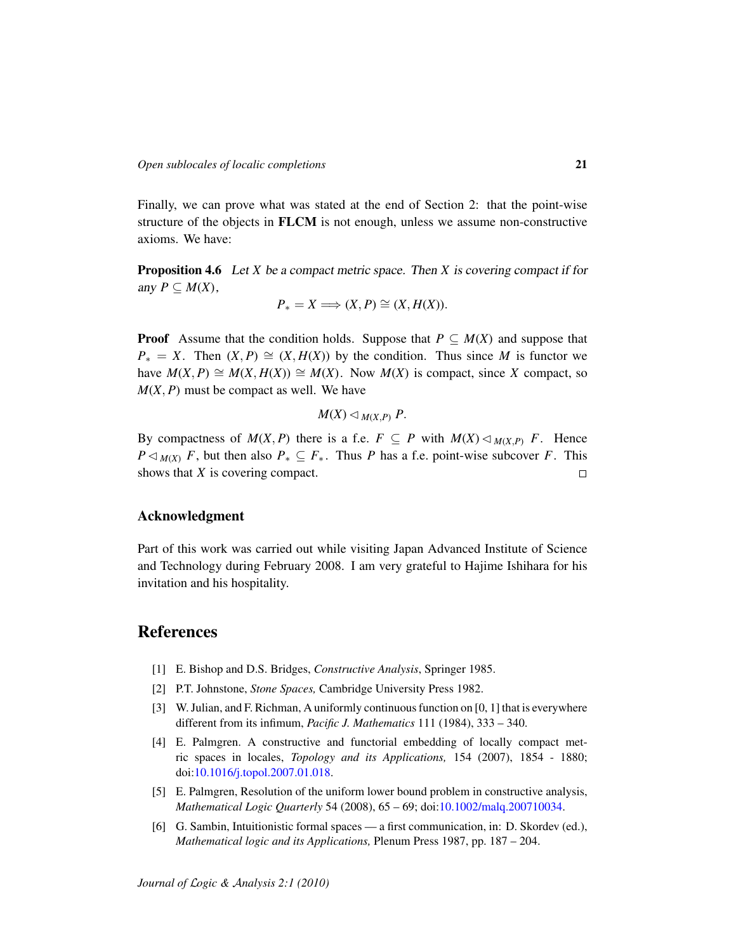Finally, we can prove what was stated at the end of Section 2: that the point-wise structure of the objects in FLCM is not enough, unless we assume non-constructive axioms. We have:

<span id="page-20-6"></span>Proposition 4.6 Let *X* be a compact metric space. Then *X* is covering compact if for any  $P \subseteq M(X)$ ,

$$
P_* = X \Longrightarrow (X, P) \cong (X, H(X)).
$$

**Proof** Assume that the condition holds. Suppose that  $P \subseteq M(X)$  and suppose that  $P^* = X$ . Then  $(X, P) \cong (X, H(X))$  by the condition. Thus since *M* is functor we have  $M(X, P) \cong M(X, H(X)) \cong M(X)$ . Now  $M(X)$  is compact, since X compact, so  $M(X, P)$  must be compact as well. We have

$$
M(X)\lhd_{M(X,P)} P.
$$

By compactness of  $M(X, P)$  there is a f.e.  $F \subseteq P$  with  $M(X) \triangleleft_{M(X, P)} F$ . Hence *P*  $\lhd$  *M*(*X*) *F*, but then also *P*<sup>∗</sup> ⊆ *F*<sup>\*</sup>. Thus *P* has a f.e. point-wise subcover *F*. This shows that *X* is covering compact.  $\Box$ 

### Acknowledgment

Part of this work was carried out while visiting Japan Advanced Institute of Science and Technology during February 2008. I am very grateful to Hajime Ishihara for his invitation and his hospitality.

### References

- <span id="page-20-0"></span>[1] E. Bishop and D.S. Bridges, *Constructive Analysis*, Springer 1985.
- <span id="page-20-1"></span>[2] P.T. Johnstone, *Stone Spaces,* Cambridge University Press 1982.
- <span id="page-20-5"></span>[3] W. Julian, and F. Richman, A uniformly continuous function on [0, 1] that is everywhere different from its infimum, *Pacific J. Mathematics* 111 (1984), 333 – 340.
- <span id="page-20-3"></span>[4] E. Palmgren. A constructive and functorial embedding of locally compact metric spaces in locales, *Topology and its Applications,* 154 (2007), 1854 - 1880; doi[:10.1016/j.topol.2007.01.018.](http://dx.doi.org/10.1016/j.topol.2007.01.018)
- <span id="page-20-4"></span>[5] E. Palmgren, Resolution of the uniform lower bound problem in constructive analysis, *Mathematical Logic Quarterly* 54 (2008), 65 – 69; doi[:10.1002/malq.200710034.](http://dx.doi.org/10.1002/malq.200710034)
- <span id="page-20-2"></span>[6] G. Sambin, Intuitionistic formal spaces — a first communication, in: D. Skordev (ed.), *Mathematical logic and its Applications,* Plenum Press 1987, pp. 187 – 204.